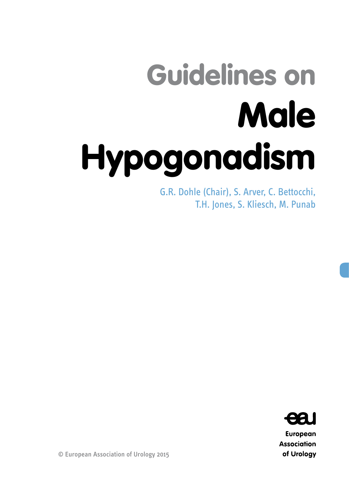# Guidelines on Male Hypogonadism

G.R. Dohle (Chair), S. Arver, C. Bettocchi, T.H. Jones, S. Kliesch, M. Punab



European **Association** of Urology

© European Association of Urology 2015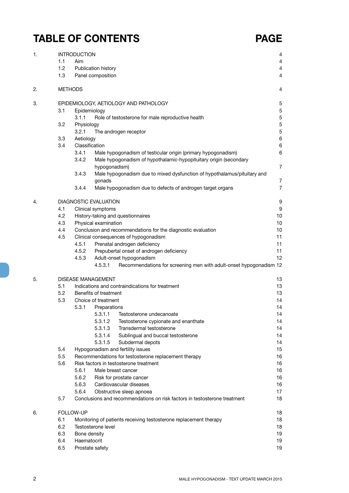## **TABLE OF CONTENTS PAGE**

| 1. |     | <b>INTRODUCTION</b> |                              |                                                                           | 4                                |
|----|-----|---------------------|------------------------------|---------------------------------------------------------------------------|----------------------------------|
|    | 1.1 | Aim                 |                              |                                                                           | 4                                |
|    | 1.2 |                     | Publication history          |                                                                           | 4                                |
|    | 1.3 |                     | Panel composition            |                                                                           | $\overline{4}$                   |
| 2. |     | <b>METHODS</b>      |                              |                                                                           | 4                                |
| 3. |     |                     |                              | EPIDEMIOLOGY, AETIOLOGY AND PATHOLOGY                                     | 5                                |
|    | 3.1 | Epidemiology        |                              |                                                                           | 5                                |
|    |     | 3.1.1               |                              | Role of testosterone for male reproductive health                         | 5                                |
|    | 3.2 | Physiology          |                              |                                                                           | $\mathbf 5$                      |
|    |     | 3.2.1               |                              | The androgen receptor                                                     | 5                                |
|    | 3.3 | Aetiology           |                              |                                                                           | 6                                |
|    | 3.4 | Classification      |                              |                                                                           | 6                                |
|    |     | 3.4.1               |                              | Male hypogonadism of testicular origin (primary hypogonadism)             | 6                                |
|    |     | 3.4.2               |                              | Male hypogonadism of hypothalamic-hypopituitary origin (secondary         |                                  |
|    |     |                     | hypogonadism)                |                                                                           | $\overline{7}$                   |
|    |     | 3.4.3               |                              | Male hypogonadism due to mixed dysfunction of hypothalamus/pituitary and  |                                  |
|    |     | 3.4.4               | gonads                       | Male hypogonadism due to defects of androgen target organs                | $\overline{7}$<br>$\overline{7}$ |
| 4. |     |                     | <b>DIAGNOSTIC EVALUATION</b> |                                                                           | 9                                |
|    | 4.1 |                     | Clinical symptoms            |                                                                           | 9                                |
|    | 4.2 |                     |                              | History-taking and questionnaires                                         | 10                               |
|    | 4.3 |                     | Physical examination         |                                                                           | 10                               |
|    | 4.4 |                     |                              | Conclusion and recommendations for the diagnostic evaluation              | 10                               |
|    | 4.5 |                     |                              | Clinical consequences of hypogonadism                                     | 11                               |
|    |     | 4.5.1               |                              | Prenatal androgen deficiency                                              | 11                               |
|    |     | 4.5.2               |                              | Prepubertal onset of androgen deficiency                                  | 11                               |
|    |     | 4.5.3               |                              | Adult-onset hypogonadism                                                  | 12                               |
|    |     |                     | 4.5.3.1                      | Recommendations for screening men with adult-onset hypogonadism 12        |                                  |
| 5. |     |                     | <b>DISEASE MANAGEMENT</b>    |                                                                           | 13                               |
|    | 5.1 |                     |                              | Indications and contraindications for treatment                           | 13                               |
|    | 5.2 |                     | Benefits of treatment        |                                                                           | 13                               |
|    | 5.3 |                     | Choice of treatment          |                                                                           | 14                               |
|    |     | 5.3.1               | Preparations                 |                                                                           | 14                               |
|    |     |                     | 5.3.1.1                      | Testosterone undecanoate                                                  | 14                               |
|    |     |                     | 5.3.1.2                      | Testosterone cypionate and enanthate                                      | 14                               |
|    |     |                     | 5.3.1.3                      | Transdermal testosterone                                                  | 14                               |
|    |     |                     | 5.3.1.4                      | Sublingual and buccal testosterone                                        | 14                               |
|    |     |                     | 5.3.1.5                      | Subdermal depots                                                          | 14                               |
|    | 5.4 |                     |                              | Hypogonadism and fertility issues                                         | 15                               |
|    | 5.5 |                     |                              | Recommendations for testosterone replacement therapy                      | 16                               |
|    | 5.6 |                     |                              | Risk factors in testosterone treatment                                    | 16                               |
|    |     | 5.6.1<br>5.6.2      |                              | Male breast cancer                                                        | 16<br>16                         |
|    |     | 5.6.3               |                              | Risk for prostate cancer<br>Cardiovascular diseases                       | 16                               |
|    |     | 5.6.4               |                              | Obstructive sleep apnoea                                                  | 17                               |
|    | 5.7 |                     |                              | Conclusions and recommendations on risk factors in testosterone treatment | 18                               |
| 6. |     | FOLLOW-UP           |                              |                                                                           | 18                               |
|    | 6.1 |                     |                              | Monitoring of patients receiving testosterone replacement therapy         | 18                               |
|    | 6.2 |                     | Testosterone level           |                                                                           | 18                               |
|    | 6.3 | Bone density        |                              |                                                                           | 19                               |
|    | 6.4 | Haematocrit         |                              |                                                                           | 19                               |
|    | 6.5 | Prostate safety     |                              |                                                                           | 19                               |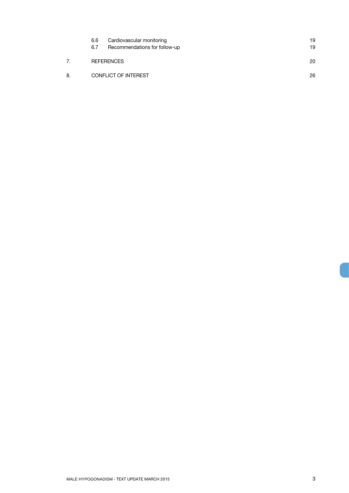|    | 6.6<br>6.7 | Cardiovascular monitoring<br>Recommendations for follow-up | 19<br>19 |
|----|------------|------------------------------------------------------------|----------|
|    |            | <b>REFERENCES</b>                                          | 20       |
| 8. |            | <b>CONFLICT OF INTEREST</b>                                | 26       |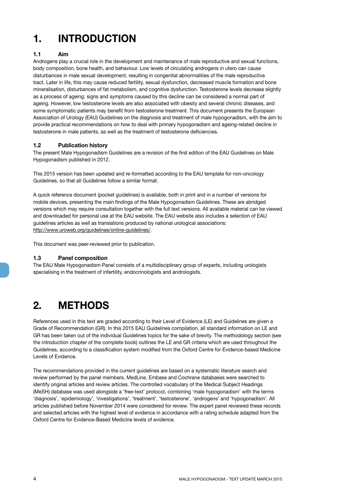## <span id="page-3-0"></span>**1. INTRODUCTION**

### **1.1 Aim**

Androgens play a crucial role in the development and maintenance of male reproductive and sexual functions, body composition, bone health, and behaviour. Low levels of circulating androgens in utero can cause disturbances in male sexual development, resulting in congenital abnormalities of the male reproductive tract. Later in life, this may cause reduced fertility, sexual dysfunction, decreased muscle formation and bone mineralisation, disturbances of fat metabolism, and cognitive dysfunction. Testosterone levels decrease slightly as a process of ageing: signs and symptoms caused by this decline can be considered a normal part of ageing. However, low testosterone levels are also associated with obesity and several chronic diseases, and some symptomatic patients may benefit from testosterone treatment. This document presents the European Association of Urology (EAU) Guidelines on the diagnosis and treatment of male hypogonadism, with the aim to provide practical recommendations on how to deal with primary hypogonadism and ageing-related decline in testosterone in male patients, as well as the treatment of testosterone deficiencies.

#### **1.2 Publication history**

The present Male Hypogonadism Guidelines are a revision of the first edition of the EAU Guidelines on Male Hypogonadism published in 2012.

This 2015 version has been updated and re-formatted according to the EAU template for non-oncology Guidelines, so that all Guidelines follow a similar format.

A quick reference document (pocket guidelines) is available, both in print and in a number of versions for mobile devices, presenting the main findings of the Male Hypogonadism Guidelines. These are abridged versions which may require consultation together with the full text versions. All available material can be viewed and downloaded for personal use at the EAU website. The EAU website also includes a selection of EAU guidelines articles as well as translations produced by national urological associations: http://www.uroweb.org/guidelines/online-guidelines/.

This document was peer-reviewed prior to publication.

#### **1.3 Panel composition**

The EAU Male Hypogonadism Panel consists of a multidisciplinary group of experts, including urologists specialising in the treatment of infertility, endocrinologists and andrologists.

## **2. METHODS**

References used in this text are graded according to their Level of Evidence (LE) and Guidelines are given a Grade of Recommendation (GR). In this 2015 EAU Guidelines compilation, all standard information on LE and GR has been taken out of the individual Guidelines topics for the sake of brevity. The methodology section (see the introduction chapter of the complete book) outlines the LE and GR criteria which are used throughout the Guidelines, according to a classification system modified from the Oxford Centre for Evidence-based Medicine Levels of Evidence.

The recommendations provided in the current guidelines are based on a systematic literature search and review performed by the panel members. MedLine, Embase and Cochrane databases were searched to identify original articles and review articles. The controlled vocabulary of the Medical Subject Headings (MeSH) database was used alongside a 'free-text' protocol, combining 'male hypogonadism' with the terms 'diagnosis', 'epidemiology', 'investigations', 'treatment', 'testosterone', 'androgens' and 'hypogonadism'. All articles published before November 2014 were considered for review. The expert panel reviewed these records and selected articles with the highest level of evidence in accordance with a rating schedule adapted from the Oxford Centre for Evidence-Based Medicine levels of evidence.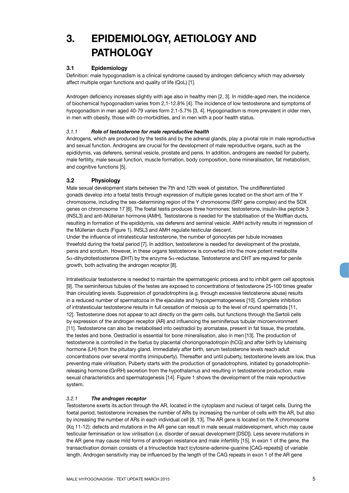## <span id="page-4-0"></span>**3. EPIDEMIOLOGY, AETIOLOGY AND PATHOLOGY**

#### **3.1 Epidemiology**

Definition: male hypogonadism is a clinical syndrome caused by androgen deficiency which may adversely affect multiple organ functions and quality of life (QoL) [1].

Androgen deficiency increases slightly with age also in healthy men [2, 3]. In middle-aged men, the incidence of biochemical hypogonadism varies from 2,1-12.8% [4]. The incidence of low testosterone and symptoms of hypogonadism in men aged 40-79 varies form 2.1-5.7% [3, 4]. Hypogonadism is more prevalent in older men, in men with obesity, those with co-morbidities, and in men with a poor health status.

#### *3.1.1 Role of testosterone for male reproductive health*

Androgens, which are produced by the testis and by the adrenal glands, play a pivotal role in male reproductive and sexual function. Androgens are crucial for the development of male reproductive organs, such as the epididymis, vas deferens, seminal vesicle, prostate and penis. In addition, androgens are needed for puberty, male fertility, male sexual function, muscle formation, body composition, bone mineralisation, fat metabolism, and cognitive functions [5].

#### **3.2 Physiology**

Male sexual development starts between the 7th and 12th week of gestation. The undifferentiated gonads develop into a foetal testis through expression of multiple genes located on the short arm of the Y chromosome, including the sex-determining region of the Y chromosome (SRY gene complex) and the SOX genes on chromosome 17 [6]. The foetal testis produces three hormones: testosterone, insulin-like peptide 3 (INSL3) and anti-Müllerian hormone (AMH). Testosterone is needed for the stabilisation of the Wolffian ducts, resulting in formation of the epididymis, vas deferens and seminal vesicle. AMH activity results in regression of the Müllerian ducts (Figure 1). INSL3 and AMH regulate testicular descent.

Under the influence of intratesticular testosterone, the number of gonocytes per tubule increases threefold during the foetal period [7]. In addition, testosterone is needed for development of the prostate, penis and scrotum. However, in these organs testosterone is converted into the more potent metabolite  $5\alpha$ -dihydrotestosterone (DHT) by the enzyme  $5\alpha$ -reductase. Testosterone and DHT are required for penile growth, both activating the androgen receptor [8].

Intratesticular testosterone is needed to maintain the spermatogenic process and to inhibit germ cell apoptosis [9]. The seminiferous tubules of the testes are exposed to concentrations of testosterone 25-100 times greater than circulating levels. Suppression of gonadotrophins (e.g. through excessive testosterone abuse) results in a reduced number of spermatozoa in the ejaculate and hypospermatogenesis [10]. Complete inhibition of intratesticular testosterone results in full cessation of meiosis up to the level of round spermatids [11, 12]. Testosterone does not appear to act directly on the germ cells, but functions through the Sertoli cells by expression of the androgen receptor (AR) and influencing the seminiferous tubular microenvironment [11]. Testosterone can also be metabolised into oestradiol by aromatase, present in fat tissue, the prostate, the testes and bone. Oestradiol is essential for bone mineralisation, also in men [13]. The production of testosterone is controlled in the foetus by placental choriongonadotropin (hCG) and after birth by luteinising hormone (LH) from the pituitary gland. Immediately after birth, serum testosterone levels reach adult concentrations over several months (minipuberty). Thereafter and until puberty, testosterone levels are low, thus preventing male virilisation. Puberty starts with the production of gonadotrophins, initiated by gonadotrophinreleasing hormone (GnRH) secretion from the hypothalamus and resulting in testosterone production, male sexual characteristics and spermatogenesis [14]. Figure 1 shows the development of the male reproductive system.

#### *3.2.1 The androgen receptor*

Testosterone exerts its action through the AR, located in the cytoplasm and nucleus of target cells. During the foetal period, testosterone increases the number of ARs by increasing the number of cells with the AR, but also by increasing the number of ARs in each individual cell [8, 13]. The AR gene is located on the X chromosome (Xq 11-12): defects and mutations in the AR gene can result in male sexual maldevelopment, which may cause testicular feminisation or low virilisation (i.e. disorder of sexual development [DSD]). Less severe mutations in the AR gene may cause mild forms of androgen resistance and male infertility [15]. In exon 1 of the gene, the transactivation domain consists of a trinucleotide tract (cytosine-adenine-guanine [CAG-repeats]) of variable length. Androgen sensitivity may be influenced by the length of the CAG repeats in exon 1 of the AR gene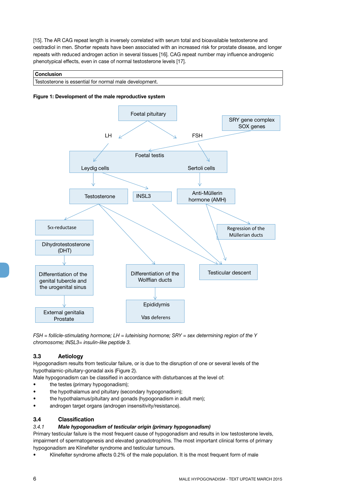<span id="page-5-0"></span>[15]. The AR CAG repeat length is inversely correlated with serum total and bioavailable testosterone and oestradiol in men. Shorter repeats have been associated with an increased risk for prostate disease, and longer repeats with reduced androgen action in several tissues [16]. CAG repeat number may influence androgenic phenotypical effects, even in case of normal testosterone levels [17].

#### **Conclusion**

| Testosterone is essential for normal male development. |
|--------------------------------------------------------|
|--------------------------------------------------------|





*FSH = follicle-stimulating hormone; LH = luteinising hormone; SRY = sex determining region of the Y chromosome; INSL3= insulin-like peptide 3.*

#### **3.3 Aetiology**

Hypogonadism results from testicular failure, or is due to the disruption of one or several levels of the hypothalamic-pituitary-gonadal axis (Figure 2).

Male hypogonadism can be classified in accordance with disturbances at the level of:

- the testes (primary hypogonadism);
- the hypothalamus and pituitary (secondary hypogonadism);
- the hypothalamus/pituitary and gonads (hypogonadism in adult men);
- androgen target organs (androgen insensitivity/resistance).

#### **3.4 Classification**

#### *3.4.1 Male hypogonadism of testicular origin (primary hypogonadism)*

Primary testicular failure is the most frequent cause of hypogonadism and results in low testosterone levels, impairment of spermatogenesis and elevated gonadotrophins. The most important clinical forms of primary hypogonadism are Klinefelter syndrome and testicular tumours.

Klinefelter syndrome affects 0.2% of the male population. It is the most frequent form of male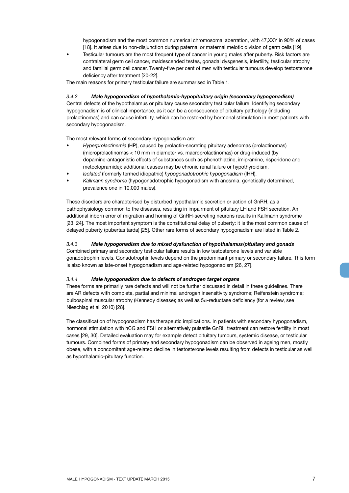hypogonadism and the most common numerical chromosomal aberration, with 47,XXY in 90% of cases [18]. It arises due to non-disjunction during paternal or maternal meiotic division of germ cells [19].

<span id="page-6-0"></span>Testicular tumours are the most frequent type of cancer in young males after puberty. Risk factors are contralateral germ cell cancer, maldescended testes, gonadal dysgenesis, infertility, testicular atrophy and familial germ cell cancer. Twenty-five per cent of men with testicular tumours develop testosterone deficiency after treatment [20-22].

The main reasons for primary testicular failure are summarised in Table 1.

#### *3.4.2 Male hypogonadism of hypothalamic-hypopituitary origin (secondary hypogonadism)*

Central defects of the hypothalamus or pituitary cause secondary testicular failure. Identifying secondary hypogonadism is of clinical importance, as it can be a consequence of pituitary pathology (including prolactinomas) and can cause infertility, which can be restored by hormonal stimulation in most patients with secondary hypogonadism.

The most relevant forms of secondary hypogonadism are:

- • *Hyperprolactinemia* (HP), caused by prolactin-secreting pituitary adenomas (prolactinomas) (microprolactinomas < 10 mm in diameter vs. macroprolactinomas) or drug-induced (by dopamine-antagonistic effects of substances such as phenothiazine, imipramine, risperidone and metoclopramide); additional causes may be chronic renal failure or hypothyroidism.
- • *Isolated* (formerly termed idiopathic) *hypogonadotrophic hypogonadism* (IHH).
- Kallmann syndrome (hypogonadotrophic hypogonadism with anosmia, genetically determined, prevalence one in 10,000 males).

These disorders are characterised by disturbed hypothalamic secretion or action of GnRH, as a pathophysiology common to the diseases, resulting in impairment of pituitary LH and FSH secretion. An additional inborn error of migration and homing of GnRH-secreting neurons results in Kallmann syndrome [23, 24]. The most important symptom is the constitutional delay of puberty: it is the most common cause of delayed puberty (pubertas tarda) [25]. Other rare forms of secondary hypogonadism are listed in Table 2.

#### *3.4.3 Male hypogonadism due to mixed dysfunction of hypothalamus/pituitary and gonads*

Combined primary and secondary testicular failure results in low testosterone levels and variable gonadotrophin levels. Gonadotrophin levels depend on the predominant primary or secondary failure. This form is also known as late-onset hypogonadism and age-related hypogonadism [26, 27].

#### *3.4.4 Male hypogonadism due to defects of androgen target organs*

These forms are primarily rare defects and will not be further discussed in detail in these guidelines. There are AR defects with complete, partial and minimal androgen insensitivity syndrome; Reifenstein syndrome; bulbospinal muscular atrophy (Kennedy disease); as well as  $5\alpha$ -reductase deficiency (for a review, see Nieschlag et al. 2010) [28].

The classification of hypogonadism has therapeutic implications. In patients with secondary hypogonadism, hormonal stimulation with hCG and FSH or alternatively pulsatile GnRH treatment can restore fertility in most cases [29, 30]. Detailed evaluation may for example detect pituitary tumours, systemic disease, or testicular tumours. Combined forms of primary and secondary hypogonadism can be observed in ageing men, mostly obese, with a concomitant age-related decline in testosterone levels resulting from defects in testicular as well as hypothalamic-pituitary function.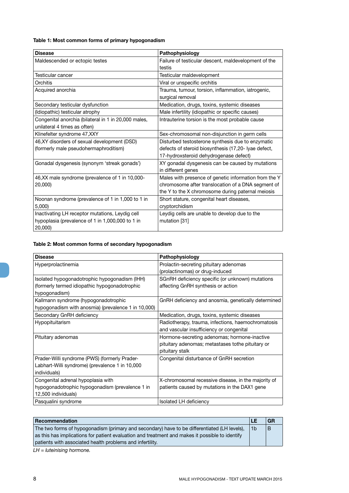### **Table 1: Most common forms of primary hypogonadism**

| <b>Disease</b>                                       | Pathophysiology                                       |
|------------------------------------------------------|-------------------------------------------------------|
| Maldescended or ectopic testes                       | Failure of testicular descent, maldevelopment of the  |
|                                                      | testis                                                |
| Testicular cancer                                    | Testicular maldevelopment                             |
| Orchitis                                             | Viral or unspecific orchitis                          |
| Acquired anorchia                                    | Trauma, tumour, torsion, inflammation, iatrogenic,    |
|                                                      | surgical removal                                      |
| Secondary testicular dysfunction                     | Medication, drugs, toxins, systemic diseases          |
| (Idiopathic) testicular atrophy                      | Male infertility (idiopathic or specific causes)      |
| Congenital anorchia (bilateral in 1 in 20,000 males, | Intrauterine torsion is the most probable cause       |
| unilateral 4 times as often)                         |                                                       |
| Klinefelter syndrome 47, XXY                         | Sex-chromosomal non-disjunction in germ cells         |
| 46, XY disorders of sexual development (DSD)         | Disturbed testosterone synthesis due to enzymatic     |
| (formerly male pseudohermaphroditism)                | defects of steroid biosynthesis (17,20- lyae defect,  |
|                                                      | 17-hydroxsteroid dehydrogenase defect)                |
| Gonadal dysgenesis (synonym 'streak gonads')         | XY gonadal dysgenesis can be caused by mutations      |
|                                                      | in different genes                                    |
| 46, XX male syndrome (prevalence of 1 in 10,000-     | Males with presence of genetic information from the Y |
| 20,000)                                              | chromosome after translocation of a DNA segment of    |
|                                                      | the Y to the X chromosome during paternal meiosis     |
| Noonan syndrome (prevalence of 1 in 1,000 to 1 in    | Short stature, congenital heart diseases,             |
| 5,000                                                | cryptorchidism                                        |
| Inactivating LH receptor mutations, Leydig cell      | Leydig cells are unable to develop due to the         |
| hypoplasia (prevalence of 1 in 1,000,000 to 1 in     | mutation [31]                                         |
| 20,000)                                              |                                                       |

### **Table 2: Most common forms of secondary hypogonadism**

| <b>Disease</b>                                      | Pathophysiology                                     |
|-----------------------------------------------------|-----------------------------------------------------|
| Hyperprolactinemia                                  | Prolactin-secreting pituitary adenomas              |
|                                                     | (prolactinomas) or drug-induced                     |
| Isolated hypogonadotrophic hypogonadism (IHH)       | SGnRH deficiency specific (or unknown) mutations    |
| (formerly termed idiopathic hypogonadotrophic       | affecting GnRH synthesis or action                  |
| hypogonadism)                                       |                                                     |
| Kallmann syndrome (hypogonadotrophic                | GnRH deficiency and anosmia, genetically determined |
| hypogonadism with anosmia) (prevalence 1 in 10,000) |                                                     |
| Secondary GnRH deficiency                           | Medication, drugs, toxins, systemic diseases        |
| Hypopituitarism                                     | Radiotherapy, trauma, infections, haemochromatosis  |
|                                                     | and vascular insufficiency or congenital            |
| Pituitary adenomas                                  | Hormone-secreting adenomas; hormone-inactive        |
|                                                     | pituitary adenomas; metastases tothe pituitary or   |
|                                                     | pituitary stalk                                     |
| Prader-Willi syndrome (PWS) (formerly Prader-       | Congenital disturbance of GnRH secretion            |
| Labhart-Willi syndrome) (prevalence 1 in 10,000     |                                                     |
| individuals)                                        |                                                     |
| Congenital adrenal hypoplasia with                  | X-chromosomal recessive disease, in the majority of |
| hypogonadotrophic hypogonadism (prevalence 1 in     | patients caused by mutations in the DAX1 gene       |
| 12,500 individuals)                                 |                                                     |
| Pasqualini syndrome                                 | Isolated LH deficiency                              |

| Recommendation                                                                                  | LE             | GR |
|-------------------------------------------------------------------------------------------------|----------------|----|
| The two forms of hypogonadism (primary and secondary) have to be differentiated (LH levels),    | 1 <sub>b</sub> |    |
| as this has implications for patient evaluation and treatment and makes it possible to identify |                |    |
| patients with associated health problems and infertility.                                       |                |    |

*LH = luteinising hormone.*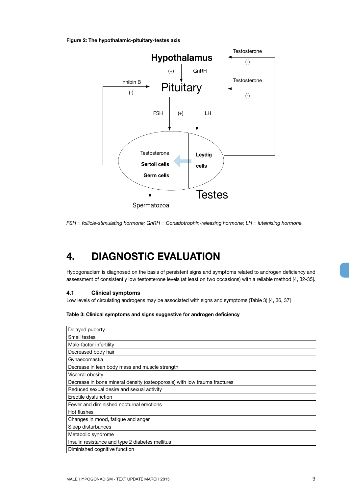<span id="page-8-0"></span>**Figure 2: The hypothalamic-pituitary-testes axis**



*FSH = follicle-stimulating hormone; GnRH = Gonadotrophin-releasing hormone; LH = luteinising hormone.*

## **4. DIAGNOSTIC EVALUATION**

Hypogonadism is diagnosed on the basis of persistent signs and symptoms related to androgen deficiency and assessment of consistently low testosterone levels (at least on two occasions) with a reliable method [4, 32-35].

#### **4.1 Clinical symptoms**

Low levels of circulating androgens may be associated with signs and symptoms (Table 3) [4, 36, 37]

**Table 3: Clinical symptoms and signs suggestive for androgen deficiency**

| Delayed puberty                                                           |
|---------------------------------------------------------------------------|
| Small testes                                                              |
| Male-factor infertility                                                   |
| Decreased body hair                                                       |
| Gynaecomastia                                                             |
| Decrease in lean body mass and muscle strength                            |
| Visceral obesity                                                          |
| Decrease in bone mineral density (osteoporosis) with low trauma fractures |
| Reduced sexual desire and sexual activity                                 |
| Erectile dysfunction                                                      |
| Fewer and diminished nocturnal erections                                  |
| Hot flushes                                                               |
| Changes in mood, fatigue and anger                                        |
| Sleep disturbances                                                        |
| Metabolic syndrome                                                        |
| Insulin resistance and type 2 diabetes mellitus                           |
| Diminished cognitive function                                             |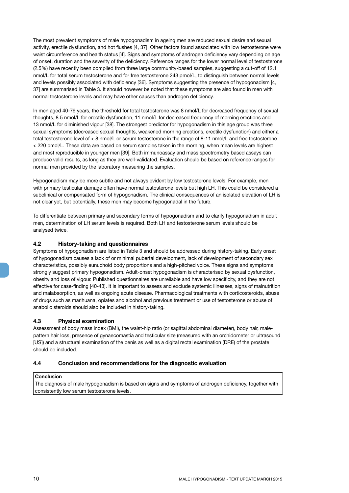<span id="page-9-0"></span>The most prevalent symptoms of male hypogonadism in ageing men are reduced sexual desire and sexual activity, erectile dysfunction, and hot flushes [4, 37]. Other factors found associated with low testosterone were waist circumference and health status [4]. Signs and symptoms of androgen deficiency vary depending on age of onset, duration and the severity of the deficiency. Reference ranges for the lower normal level of testosterone (2.5%) have recently been compiled from three large community-based samples, suggesting a cut-off of 12.1 nmol/L for total serum testosterone and for free testosterone 243 pmol/L, to distinguish between normal levels and levels possibly associated with deficiency [36]. Symptoms suggesting the presence of hypogonadism [4, 37] are summarised in Table 3. It should however be noted that these symptoms are also found in men with normal testosterone levels and may have other causes than androgen deficiency.

In men aged 40-79 years, the threshold for total testosterone was 8 nmol/L for decreased frequency of sexual thoughts, 8.5 nmol/L for erectile dysfunction, 11 nmol/L for decreased frequency of morning erections and 13 nmol/L for diminished vigour [38]. The strongest predictor for hypogonadism in this age group was three sexual symptoms (decreased sexual thoughts, weakened morning erections, erectile dysfunction) and either a total testosterone level of < 8 nmol/L or serum testosterone in the range of 8-11 nmol/L and free testosterone < 220 pmol/L. These data are based on serum samples taken in the morning, when mean levels are highest and most reproducible in younger men [39]. Both immunoassay and mass spectrometry based assays can produce valid results, as long as they are well-validated. Evaluation should be based on reference ranges for normal men provided by the laboratory measuring the samples.

Hypogonadism may be more subtle and not always evident by low testosterone levels. For example, men with primary testicular damage often have normal testosterone levels but high LH. This could be considered a subclinical or compensated form of hypogonadism. The clinical consequences of an isolated elevation of LH is not clear yet, but potentially, these men may become hypogonadal in the future.

To differentiate between primary and secondary forms of hypogonadism and to clarify hypogonadism in adult men, determination of LH serum levels is required. Both LH and testosterone serum levels should be analysed twice.

#### **4.2 History-taking and questionnaires**

Symptoms of hypogonadism are listed in Table 3 and should be addressed during history-taking. Early onset of hypogonadism causes a lack of or minimal pubertal development, lack of development of secondary sex characteristics, possibly eunuchoid body proportions and a high-pitched voice. These signs and symptoms strongly suggest primary hypogonadism. Adult-onset hypogonadism is characterised by sexual dysfunction, obesity and loss of vigour. Published questionnaires are unreliable and have low specificity, and they are not effective for case-finding [40-43]. It is important to assess and exclude systemic illnesses, signs of malnutrition and malabsorption, as well as ongoing acute disease. Pharmacological treatments with corticosteroids, abuse of drugs such as marihuana, opiates and alcohol and previous treatment or use of testosterone or abuse of anabolic steroids should also be included in history-taking.

#### **4.3 Physical examination**

Assessment of body mass index (BMI), the waist-hip ratio (or sagittal abdominal diameter), body hair, malepattern hair loss, presence of gynaecomastia and testicular size (measured with an orchidometer or ultrasound [US]) and a structural examination of the penis as well as a digital rectal examination (DRE) of the prostate should be included.

#### **4.4 Conclusion and recommendations for the diagnostic evaluation**

#### **Conclusion**

The diagnosis of male hypogonadism is based on signs and symptoms of androgen deficiency, together with consistently low serum testosterone levels.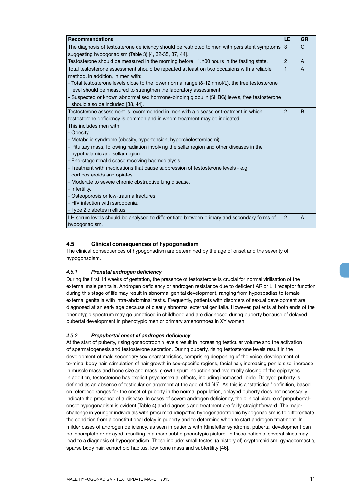<span id="page-10-0"></span>

| <b>Recommendations</b>                                                                               | LE             | <b>GR</b>      |
|------------------------------------------------------------------------------------------------------|----------------|----------------|
| The diagnosis of testosterone deficiency should be restricted to men with persistent symptoms $\mid$ |                | $\mathsf{C}$   |
| suggesting hypogonadism (Table 3) [4, 32-35, 37, 44].                                                |                |                |
| Testosterone should be measured in the morning before 11.h00 hours in the fasting state.             | $\overline{2}$ | A              |
| Total testosterone assessment should be repeated at least on two occasions with a reliable           | 1              | $\overline{A}$ |
| method. In addition, in men with:                                                                    |                |                |
| - Total testosterone levels close to the lower normal range (8-12 nmol/L), the free testosterone     |                |                |
| level should be measured to strengthen the laboratory assessment.                                    |                |                |
| - Suspected or known abnormal sex hormone-binding globulin (SHBG) levels, free testosterone          |                |                |
| should also be included [38, 44].                                                                    |                |                |
| Testosterone assessment is recommended in men with a disease or treatment in which                   | $\overline{2}$ | B              |
| testosterone deficiency is common and in whom treatment may be indicated.                            |                |                |
| This includes men with:                                                                              |                |                |
| - Obesity.                                                                                           |                |                |
| - Metabolic syndrome (obesity, hypertension, hypercholesterolaemi).                                  |                |                |
| - Pituitary mass, following radiation involving the sellar region and other diseases in the          |                |                |
| hypothalamic and sellar region.                                                                      |                |                |
| - End-stage renal disease receiving haemodialysis.                                                   |                |                |
| - Treatment with medications that cause suppression of testosterone levels - e.g.                    |                |                |
| corticosteroids and opiates.                                                                         |                |                |
| - Moderate to severe chronic obstructive lung disease.                                               |                |                |
| - Infertility.                                                                                       |                |                |
| - Osteoporosis or low-trauma fractures.                                                              |                |                |
| - HIV infection with sarcopenia.                                                                     |                |                |
| - Type 2 diabetes mellitus.                                                                          |                |                |
| LH serum levels should be analysed to differentiate between primary and secondary forms of           | $\overline{2}$ | $\overline{A}$ |
| hypogonadism.                                                                                        |                |                |

#### **4.5 Clinical consequences of hypogonadism**

The clinical consequences of hypogonadism are determined by the age of onset and the severity of hypogonadism.

#### *4.5.1 Prenatal androgen deficiency*

During the first 14 weeks of gestation, the presence of testosterone is crucial for normal virilisation of the external male genitalia. Androgen deficiency or androgen resistance due to deficient AR or LH receptor function during this stage of life may result in abnormal genital development, ranging from hypospadias to female external genitalia with intra-abdominal testis. Frequently, patients with disorders of sexual development are diagnosed at an early age because of clearly abnormal external genitalia. However, patients at both ends of the phenotypic spectrum may go unnoticed in childhood and are diagnosed during puberty because of delayed pubertal development in phenotypic men or primary amenorrhoea in XY women.

#### *4.5.2 Prepubertal onset of androgen deficiency*

At the start of puberty, rising gonadotrophin levels result in increasing testicular volume and the activation of spermatogenesis and testosterone secretion. During puberty, rising testosterone levels result in the development of male secondary sex characteristics, comprising deepening of the voice, development of terminal body hair, stimulation of hair growth in sex-specific regions, facial hair, increasing penile size, increase in muscle mass and bone size and mass, growth spurt induction and eventually closing of the epiphyses. In addition, testosterone has explicit psychosexual effects, including increased libido. Delayed puberty is defined as an absence of testicular enlargement at the age of 14 [45]. As this is a 'statistical' definition, based on reference ranges for the onset of puberty in the normal population, delayed puberty does not necessarily indicate the presence of a disease. In cases of severe androgen deficiency, the clinical picture of prepubertalonset hypogonadism is evident (Table 4) and diagnosis and treatment are fairly straightforward. The major challenge in younger individuals with presumed idiopathic hypogonadotrophic hypogonadism is to differentiate the condition from a constitutional delay in puberty and to determine when to start androgen treatment. In milder cases of androgen deficiency, as seen in patients with Klinefelter syndrome, pubertal development can be incomplete or delayed, resulting in a more subtle phenotypic picture. In these patients, several clues may lead to a diagnosis of hypogonadism. These include: small testes, (a history of) cryptorchidism, gynaecomastia, sparse body hair, eunuchoid habitus, low bone mass and subfertility [46].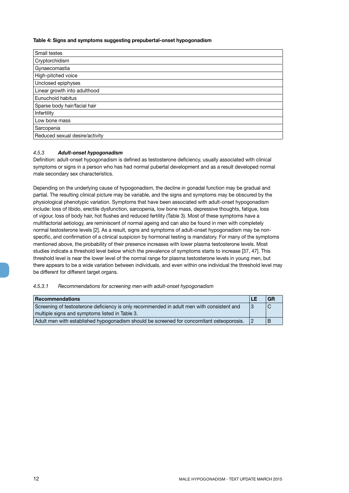#### <span id="page-11-0"></span>**Table 4: Signs and symptoms suggesting prepubertal-onset hypogonadism**

| Small testes                   |  |  |
|--------------------------------|--|--|
| Cryptorchidism                 |  |  |
| Gynaecomastia                  |  |  |
| High-pitched voice             |  |  |
| Unclosed epiphyses             |  |  |
| Linear growth into adulthood   |  |  |
| Eunuchoid habitus              |  |  |
| Sparse body hair/facial hair   |  |  |
| Infertility                    |  |  |
| Low bone mass                  |  |  |
| Sarcopenia                     |  |  |
| Reduced sexual desire/activity |  |  |

#### *4.5.3 Adult-onset hypogonadism*

Definition: adult-onset hypogonadism is defined as testosterone deficiency, usually associated with clinical symptoms or signs in a person who has had normal pubertal development and as a result developed normal male secondary sex characteristics.

Depending on the underlying cause of hypogonadism, the decline in gonadal function may be gradual and partial. The resulting clinical picture may be variable, and the signs and symptoms may be obscured by the physiological phenotypic variation. Symptoms that have been associated with adult-onset hypogonadism include: loss of libido, erectile dysfunction, sarcopenia, low bone mass, depressive thoughts, fatigue, loss of vigour, loss of body hair, hot flushes and reduced fertility (Table 3). Most of these symptoms have a multifactorial aetiology, are reminiscent of normal ageing and can also be found in men with completely normal testosterone levels [2]. As a result, signs and symptoms of adult-onset hypogonadism may be nonspecific, and confirmation of a clinical suspicion by hormonal testing is mandatory. For many of the symptoms mentioned above, the probability of their presence increases with lower plasma testosterone levels. Most studies indicate a threshold level below which the prevalence of symptoms starts to increase [37, 47]. This threshold level is near the lower level of the normal range for plasma testosterone levels in young men, but there appears to be a wide variation between individuals, and even within one individual the threshold level may be different for different target organs.

#### *4.5.3.1 Recommendations for screening men with adult-onset hypogonadism*

| <b>Recommendations</b>                                                                    |                | GR |
|-------------------------------------------------------------------------------------------|----------------|----|
| Screening of testosterone deficiency is only recommended in adult men with consistent and | $\overline{3}$ |    |
| multiple signs and symptoms listed in Table 3.                                            |                |    |
| Adult men with established hypogonadism should be screened for concomitant osteoporosis.  |                |    |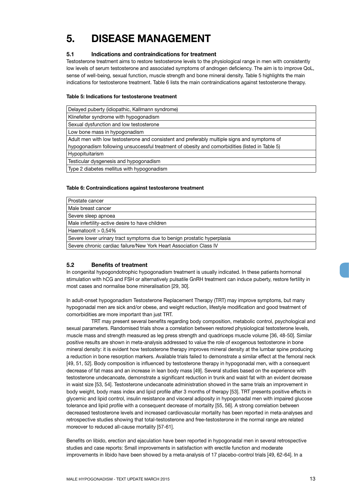## <span id="page-12-0"></span>**5. DISEASE MANAGEMENT**

#### **5.1 Indications and contraindications for treatment**

Testosterone treatment aims to restore testosterone levels to the physiological range in men with consistently low levels of serum testosterone and associated symptoms of androgen deficiency. The aim is to improve QoL, sense of well-being, sexual function, muscle strength and bone mineral density. Table 5 highlights the main indications for testosterone treatment. Table 6 lists the main contraindications against testosterone therapy.

#### **Table 5: Indications for testosterone treatment**

| Delayed puberty (idiopathic, Kallmann syndrome)                                                |
|------------------------------------------------------------------------------------------------|
| Klinefelter syndrome with hypogonadism                                                         |
| Sexual dysfunction and low testosterone                                                        |
| Low bone mass in hypogonadism                                                                  |
| Adult men with low testosterone and consistent and preferably multiple signs and symptoms of   |
| hypogonadism following unsuccessful treatment of obesity and comorbidities (listed in Table 5) |
| Hypopituitarism                                                                                |
| Testicular dysgenesis and hypogonadism                                                         |
| Type 2 diabetes mellitus with hypogonadism                                                     |

#### **Table 6: Contraindications against testosterone treatment**

| Prostate cancer                                                         |  |
|-------------------------------------------------------------------------|--|
| Male breast cancer                                                      |  |
| Severe sleep apnoea                                                     |  |
| Male infertility-active desire to have children                         |  |
| Haematocrit $> 0.54\%$                                                  |  |
| Severe lower urinary tract symptoms due to benign prostatic hyperplasia |  |
| Severe chronic cardiac failure/New York Heart Association Class IV      |  |

#### **5.2 Benefits of treatment**

In congenital hypogondotrophic hypogonadism treatment is usually indicated. In these patients hormonal stimulation with hCG and FSH or alternatively pulsatile GnRH treatment can induce puberty, restore fertility in most cases and normalise bone mineralisation [29, 30].

In adult-onset hypogonadism Testosterone Replacement Therapy (TRT) may improve symptoms, but many hypogonadal men are sick and/or obese, and weight reduction, lifestyle modification and good treatment of comorbidities are more important than just TRT.

TRT may present several benefits regarding body composition, metabolic control, psychological and sexual parameters. Randomised trials show a correlation between restored physiological testosterone levels, muscle mass and strength measured as leg press strength and quadriceps muscle volume [36, 48-50]. Similar positive results are shown in meta-analysis addressed to value the role of exogenous testosterone in bone mineral density: it is evident how testosterone therapy improves mineral density at the lumbar spine producing a reduction in bone resorption markers. Available trials failed to demonstrate a similar effect at the femoral neck [49, 51, 52]. Body composition is influenced by testosterone therapy in hypogonadal men, with a consequent decrease of fat mass and an increase in lean body mass [49]. Several studies based on the experience with testosterone undecanoate, demonstrate a significant reduction in trunk and waist fat with an evident decrease in waist size [53, 54]. Testosterone undecanoate administration showed in the same trials an improvement in body weight, body mass index and lipid profile after 3 months of therapy [53]. TRT presents positive effects in glycemic and lipid control, insulin resistance and visceral adiposity in hypogonadal men with impaired glucose tolerance and lipid profile with a consequent decrease of mortality [55, 56]. A strong correlation between decreased testosterone levels and increased cardiovascular mortality has been reported in meta-analyses and retrospective studies showing that total-testosterone and free-testosterone in the normal range are related moreover to reduced all-cause mortality [57-61].

Benefits on libido, erection and ejaculation have been reported in hypogonadal men in several retrospective studies and case reports: Small improvements in satisfaction with erectile function and moderate improvements in libido have been showed by a meta-analysis of 17 placebo-control trials [49, 62-64]. In a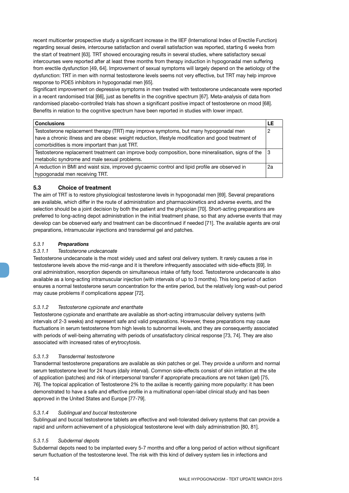<span id="page-13-0"></span>recent multicenter prospective study a significant increase in the IIEF (International Index of Erectile Function) regarding sexual desire, intercourse satisfaction and overall satisfaction was reported, starting 6 weeks from the start of treatment [63]. TRT showed encouraging results in several studies, where satisfactory sexual intercourses were reported after at least three months from therapy induction in hypogonadal men suffering from erectile dysfunction [49, 64]. Improvement of sexual symptoms will largely depend on the aetiology of the dysfunction: TRT in men with normal testosterone levels seems not very effective, but TRT may help improve response to PDE5 inhibitors in hypogonadal men [65].

Significant improvement on depressive symptoms in men treated with testosterone undecanoate were reported in a recent randomised trial [66], just as benefits in the cognitive spectrum [67]. Meta-analysis of data from randomised placebo-controlled trials has shown a significant positive impact of testosterone on mood [68]. Benefits in relation to the cognitive spectrum have been reported in studies with lower impact.

| <b>Conclusions</b>                                                                                   |    |
|------------------------------------------------------------------------------------------------------|----|
| Testosterone replacement therapy (TRT) may improve symptoms, but many hypogonadal men                | 0  |
| have a chronic illness and are obese: weight reduction, lifestyle modification and good treatment of |    |
| comorbidities is more important than just TRT.                                                       |    |
| Testosterone replacement treatment can improve body composition, bone mineralisation, signs of the   |    |
| metabolic syndrome and male sexual problems.                                                         |    |
| A reduction in BMI and waist size, improved glycaemic control and lipid profile are observed in      | 2a |
| hypogonadal men receiving TRT.                                                                       |    |

#### **5.3 Choice of treatment**

The aim of TRT is to restore physiological testosterone levels in hypogonadal men [69]. Several preparations are available, which differ in the route of administration and pharmacokinetics and adverse events, and the selection should be a joint decision by both the patient and the physician [70]. Short-acting preparations are preferred to long-acting depot administration in the initial treatment phase, so that any adverse events that may develop can be observed early and treatment can be discontinued if needed [71]. The available agents are oral preparations, intramuscular injections and transdermal gel and patches.

#### *5.3.1 Preparations*

#### *5.3.1.1 Testosterone undecanoate*

Testosterone undecanoate is the most widely used and safest oral delivery system. It rarely causes a rise in testosterone levels above the mid-range and it is therefore infrequently associated with side-effects [69]. In oral administration, resorption depends on simultaneous intake of fatty food. Testosterone undecanoate is also available as a long-acting intramuscular injection (with intervals of up to 3 months). This long period of action ensures a normal testosterone serum concentration for the entire period, but the relatively long wash-out period may cause problems if complications appear [72].

#### *5.3.1.2 Testosterone cypionate and enanthate*

Testosterone cypionate and enanthate are available as short-acting intramuscular delivery systems (with intervals of 2-3 weeks) and represent safe and valid preparations. However, these preparations may cause fluctuations in serum testosterone from high levels to subnormal levels, and they are consequently associated with periods of well-being alternating with periods of unsatisfactory clinical response [73, 74]. They are also associated with increased rates of erytrocytosis.

#### *5.3.1.3 Transdermal testosterone*

Transdermal testosterone preparations are available as skin patches or gel. They provide a uniform and normal serum testosterone level for 24 hours (daily interval). Common side-effects consist of skin irritation at the site of application (patches) and risk of interpersonal transfer if appropriate precautions are not taken (gel) [75, 76]. The topical application of Testosterone 2% to the axillae is recently gaining more popularity: it has been demonstrated to have a safe and effective profile in a multinational open-label clinical study and has been approved in the United States and Europe [77-79].

#### *5.3.1.4 Sublingual and buccal testosterone*

Sublingual and buccal testosterone tablets are effective and well-tolerated delivery systems that can provide a rapid and uniform achievement of a physiological testosterone level with daily administration [80, 81].

#### *5.3.1.5 Subdermal depots*

Subdermal depots need to be implanted every 5-7 months and offer a long period of action without significant serum fluctuation of the testosterone level. The risk with this kind of delivery system lies in infections and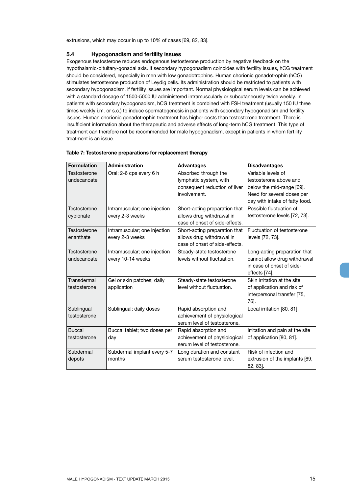<span id="page-14-0"></span>extrusions, which may occur in up to 10% of cases [69, 82, 83].

#### **5.4 Hypogonadism and fertility issues**

Exogenous testosterone reduces endogenous testosterone production by negative feedback on the hypothalamic-pituitary-gonadal axis. If secondary hypogonadism coincides with fertility issues, hCG treatment should be considered, especially in men with low gonadotrophins. Human chorionic gonadotrophin (hCG) stimulates testosterone production of Leydig cells. Its administration should be restricted to patients with secondary hypogonadism, if fertility issues are important. Normal physiological serum levels can be achieved with a standard dosage of 1500-5000 IU administered intramuscularly or subcutaneously twice weekly. In patients with secondary hypogonadism, hCG treatment is combined with FSH treatment (usually 150 IU three times weekly i.m. or s.c.) to induce spermatogenesis in patients with secondary hypogonadism and fertility issues. Human chorionic gonadotrophin treatment has higher costs than testosterone treatment. There is insufficient information about the therapeutic and adverse effects of long-term hCG treatment. This type of treatment can therefore not be recommended for male hypogonadism, except in patients in whom fertility treatment is an issue.

| <b>Formulation</b> | Administration               | <b>Advantages</b>              | <b>Disadvantages</b>            |
|--------------------|------------------------------|--------------------------------|---------------------------------|
| Testosterone       | Oral; 2-6 cps every 6 h      | Absorbed through the           | Variable levels of              |
| undecanoate        |                              | lymphatic system, with         | testosterone above and          |
|                    |                              | consequent reduction of liver  | below the mid-range [69].       |
|                    |                              | involvement.                   | Need for several doses per      |
|                    |                              |                                | day with intake of fatty food.  |
| Testosterone       | Intramuscular; one injection | Short-acting preparation that  | Possible fluctuation of         |
| cypionate          | every 2-3 weeks              | allows drug withdrawal in      | testosterone levels [72, 73].   |
|                    |                              | case of onset of side-effects. |                                 |
| Testosterone       | Intramuscular; one injection | Short-acting preparation that  | Fluctuation of testosterone     |
| enanthate          | every 2-3 weeks              | allows drug withdrawal in      | levels [72, 73].                |
|                    |                              | case of onset of side-effects. |                                 |
| Testosterone       | Intramuscular; one injection | Steady-state testosterone      | Long-acting preparation that    |
| undecanoate        | every 10-14 weeks            | levels without fluctuation.    | cannot allow drug withdrawal    |
|                    |                              |                                | in case of onset of side-       |
|                    |                              |                                | effects [74].                   |
| Transdermal        | Gel or skin patches; daily   | Steady-state testosterone      | Skin irritation at the site     |
| testosterone       | application                  | level without fluctuation.     | of application and risk of      |
|                    |                              |                                | interpersonal transfer [75,     |
|                    |                              |                                | 76].                            |
| Sublingual         | Sublingual; daily doses      | Rapid absorption and           | Local irritation [80, 81].      |
| testosterone       |                              | achievement of physiological   |                                 |
|                    |                              | serum level of testosterone.   |                                 |
| <b>Buccal</b>      | Buccal tablet; two doses per | Rapid absorption and           | Irritation and pain at the site |
| testosterone       | day                          | achievement of physiological   | of application [80, 81].        |
|                    |                              | serum level of testosterone.   |                                 |
| Subdermal          | Subdermal implant every 5-7  | Long duration and constant     | Risk of infection and           |
| depots             | months                       | serum testosterone level.      | extrusion of the implants [69,  |
|                    |                              |                                | 82, 83].                        |

#### **Table 7: Testosterone preparations for replacement therapy**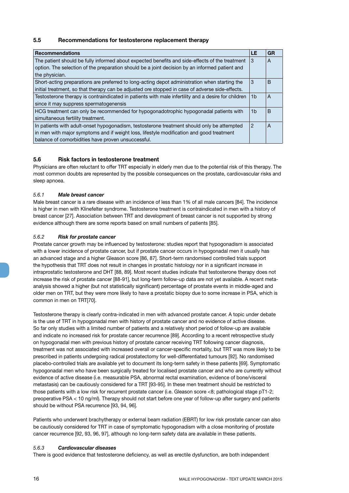#### <span id="page-15-0"></span>**5.5 Recommendations for testosterone replacement therapy**

| <b>Recommendations</b>                                                                                                                                                                                                                       | LE             | <b>GR</b> |
|----------------------------------------------------------------------------------------------------------------------------------------------------------------------------------------------------------------------------------------------|----------------|-----------|
| The patient should be fully informed about expected benefits and side-effects of the treatment<br>option. The selection of the preparation should be a joint decision by an informed patient and<br>the physician.                           | 3              | A         |
| Short-acting preparations are preferred to long-acting depot administration when starting the<br>initial treatment, so that therapy can be adjusted ore stopped in case of adverse side-effects.                                             | 3              | B         |
| Testosterone therapy is contraindicated in patients with male infertility and a desire for children<br>since it may suppress spermatogenensis                                                                                                | 1b             | A         |
| HCG treatment can only be recommended for hypogonadotrophic hypogonadal patients with<br>simultaneous fertility treatment.                                                                                                                   | 1 <sub>b</sub> | B         |
| In patients with adult-onset hypogonadism, testosterone treatment should only be attempted<br>in men with major symptoms and if weight loss, lifestyle modification and good treatment<br>balance of comorbidities have proven unsuccessful. | $\mathcal{P}$  | A         |

#### **5.6 Risk factors in testosterone treatment**

Physicians are often reluctant to offer TRT especially in elderly men due to the potential risk of this therapy. The most common doubts are represented by the possible consequences on the prostate, cardiovascular risks and sleep apnoea.

#### *5.6.1 Male breast cancer*

Male breast cancer is a rare disease with an incidence of less than 1% of all male cancers [84]. The incidence is higher in men with Klinefelter syndrome. Testosterone treatment is contraindicated in men with a history of breast cancer [27]. Association between TRT and development of breast cancer is not supported by strong evidence although there are some reports based on small numbers of patients [85].

#### *5.6.2 Risk for prostate cancer*

Prostate cancer growth may be influenced by testosterone: studies report that hypogonadism is associated with a lower incidence of prostate cancer, but if prostate cancer occurs in hypogonadal men it usually has an advanced stage and a higher Gleason score [86, 87]. Short-term randomised controlled trials support the hypothesis that TRT does not result in changes in prostatic histology nor in a significant increase in intraprostatic testosterone and DHT [88, 89]. Most recent studies indicate that testosterone therapy does not increase the risk of prostate cancer [88-91], but long-term follow-up data are not yet available. A recent metaanalysis showed a higher (but not statistically significant) percentage of prostate events in middle-aged and older men on TRT, but they were more likely to have a prostatic biopsy due to some increase in PSA, which is common in men on TRT[70].

Testosterone therapy is clearly contra-indicated in men with advanced prostate cancer. A topic under debate is the use of TRT in hypogonadal men with history of prostate cancer and no evidence of active disease. So far only studies with a limited number of patients and a relatively short period of follow-up are available and indicate no increased risk for prostate cancer recurrence [89]. According to a recent retrospective study on hypogonadal men with previous history of prostate cancer receiving TRT following cancer diagnosis, treatment was not associated with increased overall or cancer-specific mortality, but TRT was more likely to be prescribed in patients undergoing radical prostatectomy for well-differentiated tumours [92]. No randomised placebo-controlled trials are available yet to document its long-term safety in these patients [69]. Symptomatic hypogonadal men who have been surgically treated for localised prostate cancer and who are currently without evidence of active disease (i.e. measurable PSA, abnormal rectal examination, evidence of bone/visceral metastasis) can be cautiously considered for a TRT [93-95]. In these men treatment should be restricted to those patients with a low risk for recurrent prostate cancer (i.e. Gleason score <8; pathological stage pT1-2; preoperative PSA < 10 ng/ml). Therapy should not start before one year of follow-up after surgery and patients should be without PSA recurrence [93, 94, 96].

Patients who underwent brachytherapy or external beam radiation (EBRT) for low risk prostate cancer can also be cautiously considered for TRT in case of symptomatic hypogonadism with a close monitoring of prostate cancer recurrence [92, 93, 96, 97], although no long-term safety data are available in these patients.

#### *5.6.3 Cardiovascular diseases*

There is good evidence that testosterone deficiency, as well as erectile dysfunction, are both independent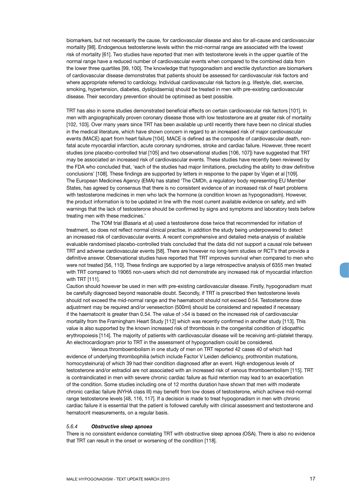<span id="page-16-0"></span>biomarkers, but not necessarily the cause, for cardiovascular disease and also for all-cause and cardiovascular mortality [98]. Endogenous testosterone levels within the mid-normal range are associated with the lowest risk of mortality [61]. Two studies have reported that men with testosterone levels in the upper quartile of the normal range have a reduced number of cardiovascular events when compared to the combined data from the lower three quartiles [99, 100]. The knowledge that hypogonadism and erectile dysfunction are biomarkers of cardiovascular disease demonstrates that patients should be assessed for cardiovascular risk factors and where appropriate referred to cardiology. Individual cardiovascular risk factors (e.g. lifestyle, diet, exercise, smoking, hypertension, diabetes, dyslipidaemia) should be treated in men with pre-existing cardiovascular disease. Their secondary prevention should be optimised as best possible.

TRT has also in some studies demonstrated beneficial effects on certain cardiovascular risk factors [101]. In men with angiographically proven coronary disease those with low testosterone are at greater risk of mortality [102, 103]. Over many years since TRT has been available up until recently there have been no clinical studies in the medical literature, which have shown concern in regard to an increased risk of major cardiovascular events (MACE) apart from heart failure [104]. MACE is defined as the composite of cardiovascular death, nonfatal acute myocardial infarction, acute coronary syndromes, stroke and cardiac failure. However, three recent studies (one placebo-controlled trial [105] and two observational studies [106, 107]) have suggested that TRT may be associated an increased risk of cardiovascular events. These studies have recently been reviewed by the FDA who concluded that, 'each of the studies had major limitations, precluding the ability to draw definitive conclusions' [108]. These findings are supported by letters in response to the paper by Vigen et al [109]. The European Medicines Agency (EMA) has stated 'The CMDh, a regulatory body representing EU Member States, has agreed by consensus that there is no consistent evidence of an increased risk of heart problems with testosterone medicines in men who lack the hormone (a condition known as hypogonadism). However, the product information is to be updated in line with the most current available evidence on safety, and with warnings that the lack of testosterone should be confirmed by signs and symptoms and laboratory tests before treating men with these medicines.'

The TOM trial (Basaria et al) used a testosterone dose twice that recommended for initiation of treatment, so does not reflect normal clinical practise, in addition the study being underpowered to detect an increased risk of cardiovascular events. A recent comprehensive and detailed meta-analysis of available evaluable randomised placebo-controlled trials concluded that the data did not support a causal role between TRT and adverse cardiovascular events [58]. There are however no long-term studies or RCT's that provide a definitive answer. Observational studies have reported that TRT improves survival when compared to men who were not treated [56, 110]. These findings are supported by a large retrospective analysis of 6355 men treated with TRT compared to 19065 non-users which did not demonstrate any increased risk of myocardial infarction with TRT [111].

Caution should however be used in men with pre-existing cardiovascular disease. Firstly, hypogonadism must be carefully diagnosed beyond reasonable doubt. Secondly, if TRT is prescribed then testosterone levels should not exceed the mid-normal range and the haematocrit should not exceed 0.54. Testosterone dose adjustment may be required and/or venesection (500ml) should be considered and repeated if necessary if the haematocrit is greater than 0.54. The value of >54 is based on the increased risk of cardiovascular mortality from the Framingham Heart Study [112] which was recently confirmed in another study [113]. This value is also supported by the known increased risk of thrombosis in the congenital condition of idiopathic erythropoiesis [114]. The majority of patients with cardiovascular disease will be receiving anti-platelet therapy. An electrocardiogram prior to TRT in the assessment of hypogonadism could be considered.

Venous thromboembolism in one study of men on TRT reported 42 cases 40 of which had evidence of underlying thrombophilia (which include Factor V Leiden deficiency, prothrombin mutations, homocysteinuria) of which 39 had their condition diagnosed after an event. High endogenous levels of testosterone and/or estradiol are not associated with an increased risk of venous thromboembolism [115]. TRT is contraindicated in men with severe chronic cardiac failure as fluid retention may lead to an exacerbation of the condition. Some studies including one of 12 months duration have shown that men with moderate chronic cardiac failure (NYHA class III) may benefit from low doses of testosterone, which achieve mid-normal range testosterone levels [48, 116, 117]. If a decision is made to treat hypogonadism in men with chronic cardiac failure it is essential that the patient is followed carefully with clinical assessment and testosterone and hematocrit measurements, on a regular basis.

#### *5.6.4 Obstructive sleep apnoea*

There is no consistent evidence correlating TRT with obstructive sleep apnoea (OSA). There is also no evidence that TRT can result in the onset or worsening of the condition [118].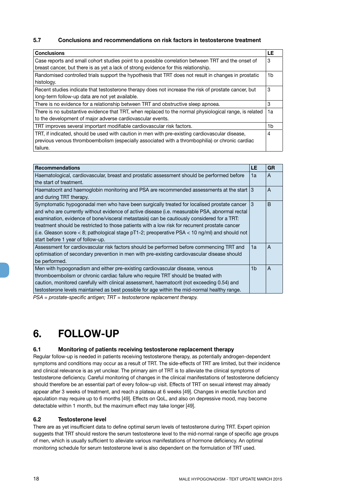#### <span id="page-17-0"></span>**5.7 Conclusions and recommendations on risk factors in testosterone treatment**

| <b>Conclusions</b>                                                                                     | LE |
|--------------------------------------------------------------------------------------------------------|----|
| Case reports and small cohort studies point to a possible correlation between TRT and the onset of     | 3  |
| breast cancer, but there is as yet a lack of strong evidence for this relationship.                    |    |
| Randomised controlled trials support the hypothesis that TRT does not result in changes in prostatic   | 1b |
| histology.                                                                                             |    |
| Recent studies indicate that testosterone therapy does not increase the risk of prostate cancer, but   | 3  |
| long-term follow-up data are not yet available.                                                        |    |
| There is no evidence for a relationship between TRT and obstructive sleep apnoea.                      | 3  |
| There is no substantive evidence that TRT, when replaced to the normal physiological range, is related | 1a |
| to the development of major adverse cardiovascular events.                                             |    |
| TRT improves several important modifiable cardiovascular risk factors.                                 | 1b |
| TRT, if indicated, should be used with caution in men with pre-existing cardiovascular disease,        | 4  |
| previous venous thromboembolism (especially associated with a thrombophilia) or chronic cardiac        |    |
| failure.                                                                                               |    |

| <b>Recommendations</b>                                                                                                                                                                                                                                                                                                                                                                                                                                                                                                                  | LE | <b>GR</b> |
|-----------------------------------------------------------------------------------------------------------------------------------------------------------------------------------------------------------------------------------------------------------------------------------------------------------------------------------------------------------------------------------------------------------------------------------------------------------------------------------------------------------------------------------------|----|-----------|
| Haematological, cardiovascular, breast and prostatic assessment should be performed before<br>the start of treatment.                                                                                                                                                                                                                                                                                                                                                                                                                   | 1а | A         |
| Haematocrit and haemoglobin monitoring and PSA are recommended assessments at the start 3<br>and during TRT therapy.                                                                                                                                                                                                                                                                                                                                                                                                                    |    | A         |
| Symptomatic hypogonadal men who have been surgically treated for localised prostate cancer<br>and who are currently without evidence of active disease (i.e. measurable PSA, abnormal rectal<br>examination, evidence of bone/visceral metastasis) can be cautiously considered for a TRT:<br>treatment should be restricted to those patients with a low risk for recurrent prostate cancer<br>(i.e. Gleason score $<$ 8; pathological stage pT1-2; preoperative PSA $<$ 10 ng/ml) and should not<br>start before 1 year of follow-up. | 3  | B         |
| Assessment for cardiovascular risk factors should be performed before commencing TRT and<br>optimisation of secondary prevention in men with pre-existing cardiovascular disease should<br>be performed.                                                                                                                                                                                                                                                                                                                                | 1a | A         |
| Men with hypogonadism and either pre-existing cardiovascular disease, venous<br>thromboembolism or chronic cardiac failure who require TRT should be treated with<br>caution, monitored carefully with clinical assessment, haematocrit (not exceeding 0.54) and<br>testosterone levels maintained as best possible for age within the mid-normal healthy range.                                                                                                                                                                        | 1b | A         |

*PSA = prostate-specific antigen; TRT = testosterone replacement therapy.*

## **6. FOLLOW-UP**

#### **6.1 Monitoring of patients receiving testosterone replacement therapy**

Regular follow-up is needed in patients receiving testosterone therapy, as potentially androgen-dependent symptoms and conditions may occur as a result of TRT. The side-effects of TRT are limited, but their incidence and clinical relevance is as yet unclear. The primary aim of TRT is to alleviate the clinical symptoms of testosterone deficiency. Careful monitoring of changes in the clinical manifestations of testosterone deficiency should therefore be an essential part of every follow-up visit. Effects of TRT on sexual interest may already appear after 3 weeks of treatment, and reach a plateau at 6 weeks [49]. Changes in erectile function and ejaculation may require up to 6 months [49]. Effects on QoL, and also on depressive mood, may become detectable within 1 month, but the maximum effect may take longer [49].

#### **6.2 Testosterone level**

There are as yet insufficient data to define optimal serum levels of testosterone during TRT. Expert opinion suggests that TRT should restore the serum testosterone level to the mid-normal range of specific age groups of men, which is usually sufficient to alleviate various manifestations of hormone deficiency. An optimal monitoring schedule for serum testosterone level is also dependent on the formulation of TRT used.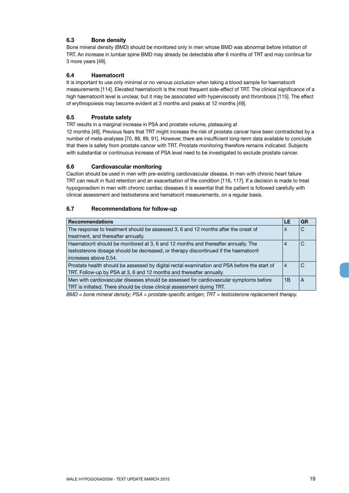### <span id="page-18-0"></span>**6.3 Bone density**

Bone mineral density (BMD) should be monitored only in men whose BMD was abnormal before initiation of TRT. An increase in lumbar spine BMD may already be detectable after 6 months of TRT and may continue for 3 more years [49].

#### **6.4 Haematocrit**

It is important to use only minimal or no venous occlusion when taking a blood sample for haematocrit measurements [114]. Elevated haematocrit is the most frequent side-effect of TRT. The clinical significance of a high haematocrit level is unclear, but it may be associated with hyperviscosity and thrombosis [115]. The effect of erythropoiesis may become evident at 3 months and peaks at 12 months [49].

#### **6.5 Prostate safety**

TRT results in a marginal increase in PSA and prostate volume, plateauing at

12 months [49]. Previous fears that TRT might increase the risk of prostate cancer have been contradicted by a number of meta-analyses [70, 88, 89, 91]. However, there are insufficient long-term data available to conclude that there is safety from prostate cancer with TRT. Prostate monitoring therefore remains indicated. Subjects with substantial or continuous increase of PSA level need to be investigated to exclude prostate cancer.

#### **6.6 Cardiovascular monitoring**

Caution should be used in men with pre-existing cardiovascular disease. In men with chronic heart failure TRT can result in fluid retention and an exacerbation of the condition [116, 117]. If a decision is made to treat hypogonadism in men with chronic cardiac diseases it is essential that the patient is followed carefully with clinical assessment and testosterone and hematocrit measurements, on a regular basis.

#### **6.7 Recommendations for follow-up**

| <b>Recommendations</b>                                                                       | LE             | GR |
|----------------------------------------------------------------------------------------------|----------------|----|
| The response to treatment should be assessed 3, 6 and 12 months after the onset of           | $\overline{4}$ | С  |
| treatment, and thereafter annually.                                                          |                |    |
| Haematocrit should be monitored at 3, 6 and 12 months and thereafter annually. The           | 4              |    |
| testosterone dosage should be decreased, or therapy discontinued if the haematocrit          |                |    |
| increases above 0,54.                                                                        |                |    |
| Prostate health should be assessed by digital rectal examination and PSA before the start of | $\overline{4}$ |    |
| TRT. Follow-up by PSA at 3, 6 and 12 months and thereafter annually.                         |                |    |
| Men with cardiovascular diseases should be assessed for cardiovascular symptoms before       | 1B             | A  |
| TRT is initiated. There should be close clinical assessment during TRT.                      |                |    |

*BMD = bone mineral density; PSA = prostate-specific antigen; TRT = testosterone replacement therapy.*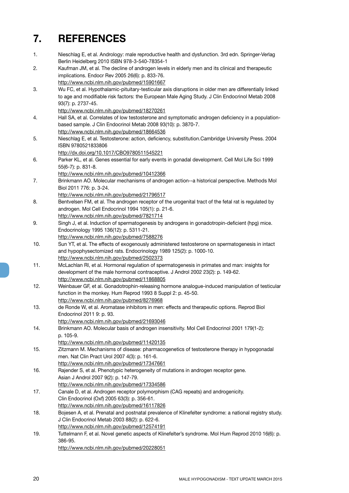## <span id="page-19-0"></span>**7. REFERENCES**

- 1. Nieschlag E, et al. Andrology: male reproductive health and dysfunction. 3rd edn. Springer-Verlag Berlin Heidelberg 2010 ISBN 978-3-540-78354-1
- 2. Kaufman JM, et al. The decline of androgen levels in elderly men and its clinical and therapeutic implications. Endocr Rev 2005 26(6): p. 833-76.

http://www.ncbi.nlm.nih.gov/pubmed/15901667

3. Wu FC, et al. Hypothalamic-pituitary-testicular axis disruptions in older men are differentially linked to age and modifiable risk factors: the European Male Aging Study. J Clin Endocrinol Metab 2008 93(7): p. 2737-45.

http://www.ncbi.nlm.nih.gov/pubmed/18270261

- 4. Hall SA, et al. Correlates of low testosterone and symptomatic androgen deficiency in a populationbased sample. J Clin Endocrinol Metab 2008 93(10): p. 3870-7.
- http://www.ncbi.nlm.nih.gov/pubmed/18664536
- 5. Nieschlag E, et al. Testosterone: action, deficiency, substitution.Cambridge University Press. 2004 ISBN 9780521833806

http://dx.doi.org/10.1017/CBO9780511545221

- 6. Parker KL, et al. Genes essential for early events in gonadal development. Cell Mol Life Sci 1999 55(6-7): p. 831-8.
- http://www.ncbi.nlm.nih.gov/pubmed/10412366
- 7. Brinkmann AO. Molecular mechanisms of androgen action--a historical perspective. Methods Mol Biol 2011 776: p. 3-24.
- http://www.ncbi.nlm.nih.gov/pubmed/21796517
- 8. Bentvelsen FM, et al. The androgen receptor of the urogenital tract of the fetal rat is regulated by androgen. Mol Cell Endocrinol 1994 105(1): p. 21-6. http://www.ncbi.nlm.nih.gov/pubmed/7821714
- 9. Singh J, et al. Induction of spermatogenesis by androgens in gonadotropin-deficient (hpg) mice. Endocrinology 1995 136(12): p. 5311-21.
- http://www.ncbi.nlm.nih.gov/pubmed/7588276
- 10. Sun YT, et al. The effects of exogenously administered testosterone on spermatogenesis in intact and hypophysectomized rats. Endocrinology 1989 125(2): p. 1000-10. http://www.ncbi.nlm.nih.gov/pubmed/2502373
- 11. McLachlan RI, et al. Hormonal regulation of spermatogenesis in primates and man: insights for development of the male hormonal contraceptive. J Androl 2002 23(2): p. 149-62. http://www.ncbi.nlm.nih.gov/pubmed/11868805
- 12. Weinbauer GF, et al. Gonadotrophin-releasing hormone analogue-induced manipulation of testicular function in the monkey. Hum Reprod 1993 8 Suppl 2: p. 45-50. http://www.ncbi.nlm.nih.gov/pubmed/8276968
- 13. de Ronde W, et al. Aromatase inhibitors in men: effects and therapeutic options. Reprod Biol Endocrinol 2011 9: p. 93.
	- http://www.ncbi.nlm.nih.gov/pubmed/21693046
- 14. Brinkmann AO. Molecular basis of androgen insensitivity. Mol Cell Endocrinol 2001 179(1-2): p. 105-9.
	- http://www.ncbi.nlm.nih.gov/pubmed/11420135
- 15. Zitzmann M. Mechanisms of disease: pharmacogenetics of testosterone therapy in hypogonadal men. Nat Clin Pract Urol 2007 4(3): p. 161-6. http://www.ncbi.nlm.nih.gov/pubmed/17347661
- 16. Rajender S, et al. Phenotypic heterogeneity of mutations in androgen receptor gene. Asian J Androl 2007 9(2): p. 147-79. http://www.ncbi.nlm.nih.gov/pubmed/17334586
- 17. Canale D, et al. Androgen receptor polymorphism (CAG repeats) and androgenicity. Clin Endocrinol (Oxf) 2005 63(3): p. 356-61. http://www.ncbi.nlm.nih.gov/pubmed/16117826
- 18. Bojesen A, et al. Prenatal and postnatal prevalence of Klinefelter syndrome: a national registry study. J Clin Endocrinol Metab 2003 88(2): p. 622-6. http://www.ncbi.nlm.nih.gov/pubmed/12574191
- 19. Tuttelmann F, et al. Novel genetic aspects of Klinefelter's syndrome. Mol Hum Reprod 2010 16(6): p. 386-95.

http://www.ncbi.nlm.nih.gov/pubmed/20228051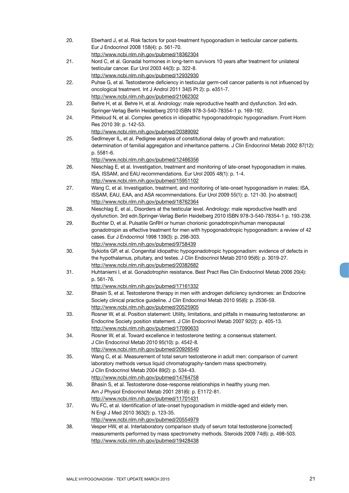| 20. | Eberhard J, et al. Risk factors for post-treatment hypogonadism in testicular cancer patients.        |
|-----|-------------------------------------------------------------------------------------------------------|
|     | Eur J Endocrinol 2008 158(4): p. 561-70.                                                              |
|     | http://www.ncbi.nlm.nih.gov/pubmed/18362304                                                           |
| 21. | Nord C, et al. Gonadal hormones in long-term survivors 10 years after treatment for unilateral        |
|     | testicular cancer. Eur Urol 2003 44(3): p. 322-8.                                                     |
|     | http://www.ncbi.nlm.nih.gov/pubmed/12932930                                                           |
| 22. | Puhse G, et al. Testosterone deficiency in testicular germ-cell cancer patients is not influenced by  |
|     |                                                                                                       |
|     | oncological treatment. Int J Androl 2011 34(5 Pt 2): p. e351-7.                                       |
|     | http://www.ncbi.nlm.nih.gov/pubmed/21062302                                                           |
| 23. | Behre H, et al. Behre H, et al. Andrology: male reproductive health and dysfunction. 3rd edn.         |
|     | Springer-Verlag Berlin Heidelberg 2010 ISBN 978-3-540-78354-1 p. 169-192.                             |
| 24. | Pitteloud N, et al. Complex genetics in idiopathic hypogonadotropic hypogonadism. Front Horm          |
|     | Res 2010 39: p. 142-53.                                                                               |
|     | http://www.ncbi.nlm.nih.gov/pubmed/20389092                                                           |
| 25. | SedImeyer IL, et al. Pedigree analysis of constitutional delay of growth and maturation:              |
|     | determination of familial aggregation and inheritance patterns. J Clin Endocrinol Metab 2002 87(12):  |
|     | p. 5581-6.                                                                                            |
|     | http://www.ncbi.nlm.nih.gov/pubmed/12466356                                                           |
| 26. | Nieschlag E, et al. Investigation, treatment and monitoring of late-onset hypogonadism in males.      |
|     | ISA, ISSAM, and EAU recommendations. Eur Urol 2005 48(1): p. 1-4.                                     |
|     | http://www.ncbi.nlm.nih.gov/pubmed/15951102                                                           |
| 27. | Wang C, et al. Investigation, treatment, and monitoring of late-onset hypogonadism in males: ISA,     |
|     | ISSAM, EAU, EAA, and ASA recommendations. Eur Urol 2009 55(1): p. 121-30. [no abstract]               |
|     | http://www.ncbi.nlm.nih.gov/pubmed/18762364                                                           |
| 28. | Nieschlag E, et al., Disorders at the testicular level. Andrology: male reproductive health and       |
|     |                                                                                                       |
|     | dysfunction. 3rd edn.Springer-Verlag Berlin Heidelberg 2010 ISBN 978-3-540-78354-1 p. 193-238.        |
| 29. | Buchter D, et al. Pulsatile GnRH or human chorionic gonadotropin/human menopausal                     |
|     | gonadotropin as effective treatment for men with hypogonadotropic hypogonadism: a review of 42        |
|     | cases. Eur J Endocrinol 1998 139(3): p. 298-303.                                                      |
|     | http://www.ncbi.nlm.nih.gov/pubmed/9758439                                                            |
| 30. | Sykiotis GP, et al. Congenital idiopathic hypogonadotropic hypogonadism: evidence of defects in       |
|     | the hypothalamus, pituitary, and testes. J Clin Endocrinol Metab 2010 95(6): p. 3019-27.              |
|     | http://www.ncbi.nlm.nih.gov/pubmed/20382682                                                           |
| 31. | Huhtaniemi I, et al. Gonadotrophin resistance. Best Pract Res Clin Endocrinol Metab 2006 20(4):       |
|     | p. 561-76.                                                                                            |
|     | http://www.ncbi.nlm.nih.gov/pubmed/17161332                                                           |
| 32. | Bhasin S, et al. Testosterone therapy in men with androgen deficiency syndromes: an Endocrine         |
|     | Society clinical practice guideline. J Clin Endocrinol Metab 2010 95(6): p. 2536-59.                  |
|     | http://www.ncbi.nlm.nih.gov/pubmed/20525905                                                           |
| 33. | Rosner W, et al. Position statement: Utility, limitations, and pitfalls in measuring testosterone: an |
|     | Endocrine Society position statement. J Clin Endocrinol Metab 2007 92(2): p. 405-13.                  |
|     | http://www.ncbi.nlm.nih.gov/pubmed/17090633                                                           |
| 34. | Rosner W, et al. Toward excellence in testosterone testing: a consensus statement.                    |
|     | J Clin Endocrinol Metab 2010 95(10): p. 4542-8.                                                       |
|     | http://www.ncbi.nlm.nih.gov/pubmed/20926540                                                           |
| 35. | Wang C, et al. Measurement of total serum testosterone in adult men: comparison of current            |
|     | laboratory methods versus liquid chromatography-tandem mass spectrometry.                             |
|     | J Clin Endocrinol Metab 2004 89(2): p. 534-43.                                                        |
|     |                                                                                                       |
|     | http://www.ncbi.nlm.nih.gov/pubmed/14764758                                                           |
| 36. | Bhasin S, et al. Testosterone dose-response relationships in healthy young men.                       |
|     | Am J Physiol Endocrinol Metab 2001 281(6): p. E1172-81.                                               |
|     | http://www.ncbi.nlm.nih.gov/pubmed/11701431                                                           |
| 37. | Wu FC, et al. Identification of late-onset hypogonadism in middle-aged and elderly men.               |
|     | N Engl J Med 2010 363(2): p. 123-35.                                                                  |
|     | http://www.ncbi.nlm.nih.gov/pubmed/20554979                                                           |
| 38. | Vesper HW, et al. Interlaboratory comparison study of serum total testosterone [corrected]            |
|     | measurements performed by mass spectrometry methods. Steroids 2009 74(6): p. 498-503.                 |
|     | http://www.ncbi.nlm.nih.gov/pubmed/19428438                                                           |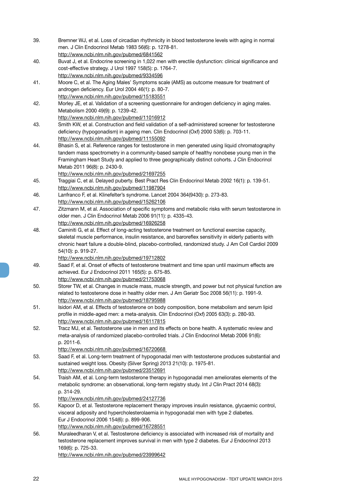- 39. Bremner WJ, et al. Loss of circadian rhythmicity in blood testosterone levels with aging in normal men. J Clin Endocrinol Metab 1983 56(6): p. 1278-81. http://www.ncbi.nlm.nih.gov/pubmed/6841562
- 40. Buvat J, et al. Endocrine screening in 1,022 men with erectile dysfunction: clinical significance and cost-effective strategy. J Urol 1997 158(5): p. 1764-7. http://www.ncbi.nlm.nih.gov/pubmed/9334596
- 41. Moore C, et al. The Aging Males' Symptoms scale (AMS) as outcome measure for treatment of androgen deficiency. Eur Urol 2004 46(1): p. 80-7. http://www.ncbi.nlm.nih.gov/pubmed/15183551
- 42. Morley JE, et al. Validation of a screening questionnaire for androgen deficiency in aging males. Metabolism 2000 49(9): p. 1239-42.

http://www.ncbi.nlm.nih.gov/pubmed/11016912

- 43. Smith KW, et al. Construction and field validation of a self-administered screener for testosterone deficiency (hypogonadism) in ageing men. Clin Endocrinol (Oxf) 2000 53(6): p. 703-11. http://www.ncbi.nlm.nih.gov/pubmed/11155092
- 44. Bhasin S, et al. Reference ranges for testosterone in men generated using liquid chromatography tandem mass spectrometry in a community-based sample of healthy nonobese young men in the Framingham Heart Study and applied to three geographically distinct cohorts. J Clin Endocrinol Metab 2011 96(8): p. 2430-9.

http://www.ncbi.nlm.nih.gov/pubmed/21697255

- 45. Traggiai C, et al. Delayed puberty. Best Pract Res Clin Endocrinol Metab 2002 16(1): p. 139-51. http://www.ncbi.nlm.nih.gov/pubmed/11987904
- 46. Lanfranco F, et al. Klinefelter's syndrome. Lancet 2004 364(9430): p. 273-83. http://www.ncbi.nlm.nih.gov/pubmed/15262106
- 47. Zitzmann M, et al. Association of specific symptoms and metabolic risks with serum testosterone in older men. J Clin Endocrinol Metab 2006 91(11): p. 4335-43. http://www.ncbi.nlm.nih.gov/pubmed/16926258
- 48. Caminiti G, et al. Effect of long-acting testosterone treatment on functional exercise capacity, skeletal muscle performance, insulin resistance, and baroreflex sensitivity in elderly patients with chronic heart failure a double-blind, placebo-controlled, randomized study. J Am Coll Cardiol 2009 54(10): p. 919-27.
- http://www.ncbi.nlm.nih.gov/pubmed/19712802
- 49. Saad F, et al. Onset of effects of testosterone treatment and time span until maximum effects are achieved. Eur J Endocrinol 2011 165(5): p. 675-85.
- http://www.ncbi.nlm.nih.gov/pubmed/21753068
- 50. Storer TW, et al. Changes in muscle mass, muscle strength, and power but not physical function are related to testosterone dose in healthy older men. J Am Geriatr Soc 2008 56(11): p. 1991-9. http://www.ncbi.nlm.nih.gov/pubmed/18795988
- 51. Isidori AM, et al. Effects of testosterone on body composition, bone metabolism and serum lipid profile in middle-aged men: a meta-analysis. Clin Endocrinol (Oxf) 2005 63(3): p. 280-93. http://www.ncbi.nlm.nih.gov/pubmed/16117815
- 52. Tracz MJ, et al. Testosterone use in men and its effects on bone health. A systematic review and meta-analysis of randomized placebo-controlled trials. J Clin Endocrinol Metab 2006 91(6): p. 2011-6.

http://www.ncbi.nlm.nih.gov/pubmed/16720668

- 53. Saad F, et al. Long-term treatment of hypogonadal men with testosterone produces substantial and sustained weight loss. Obesity (Silver Spring) 2013 21(10): p. 1975-81. http://www.ncbi.nlm.nih.gov/pubmed/23512691
- 54. Traish AM, et al. Long-term testosterone therapy in hypogonadal men ameliorates elements of the metabolic syndrome: an observational, long-term registry study. Int J Clin Pract 2014 68(3): p. 314-29.

http://www.ncbi.nlm.nih.gov/pubmed/24127736

- 55. Kapoor D, et al. Testosterone replacement therapy improves insulin resistance, glycaemic control, visceral adiposity and hypercholesterolaemia in hypogonadal men with type 2 diabetes. Eur J Endocrinol 2006 154(6): p. 899-906. http://www.ncbi.nlm.nih.gov/pubmed/16728551
- 56. Muraleedharan V, et al. Testosterone deficiency is associated with increased risk of mortality and testosterone replacement improves survival in men with type 2 diabetes. Eur J Endocrinol 2013 169(6): p. 725-33. http://www.ncbi.nlm.nih.gov/pubmed/23999642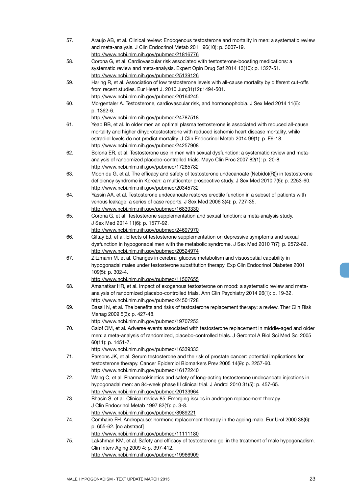57. Araujo AB, et al. Clinical review: Endogenous testosterone and mortality in men: a systematic review and meta-analysis. J Clin Endocrinol Metab 2011 96(10): p. 3007-19. http://www.ncbi.nlm.nih.gov/pubmed/21816776 58. Corona G, et al. Cardiovascular risk associated with testosterone-boosting medications: a systematic review and meta-analysis. Expert Opin Drug Saf 2014 13(10): p. 1327-51. http://www.ncbi.nlm.nih.gov/pubmed/25139126 59. Haring R, et al. Association of low testosterone levels with all-cause mortality by different cut-offs from recent studies. Eur Heart J. 2010 Jun;31(12):1494-501. http://www.ncbi.nlm.nih.gov/pubmed/20164245 60. Morgentaler A. Testosterone, cardiovascular risk, and hormonophobia. J Sex Med 2014 11(6): p. 1362-6. http://www.ncbi.nlm.nih.gov/pubmed/24787518 61. Yeap BB, et al. In older men an optimal plasma testosterone is associated with reduced all-cause mortality and higher dihydrotestosterone with reduced ischemic heart disease mortality, while estradiol levels do not predict mortality. J Clin Endocrinol Metab 2014 99(1): p. E9-18. http://www.ncbi.nlm.nih.gov/pubmed/24257908 62. Bolona ER, et al. Testosterone use in men with sexual dysfunction: a systematic review and metaanalysis of randomized placebo-controlled trials. Mayo Clin Proc 2007 82(1): p. 20-8. http://www.ncbi.nlm.nih.gov/pubmed/17285782 63. Moon du G, et al. The efficacy and safety of testosterone undecanoate (Nebido((R))) in testosterone deficiency syndrome in Korean: a multicenter prospective study. J Sex Med 2010 7(6): p. 2253-60. http://www.ncbi.nlm.nih.gov/pubmed/20345732 64. Yassin AA, et al. Testosterone undecanoate restores erectile function in a subset of patients with venous leakage: a series of case reports. J Sex Med 2006 3(4): p. 727-35. http://www.ncbi.nlm.nih.gov/pubmed/16839330 65. Corona G, et al. Testosterone supplementation and sexual function: a meta-analysis study. J Sex Med 2014 11(6): p. 1577-92. http://www.ncbi.nlm.nih.gov/pubmed/24697970 66. Giltay EJ, et al. Effects of testosterone supplementation on depressive symptoms and sexual dysfunction in hypogonadal men with the metabolic syndrome. J Sex Med 2010 7(7): p. 2572-82. http://www.ncbi.nlm.nih.gov/pubmed/20524974 67. Zitzmann M, et al. Changes in cerebral glucose metabolism and visuospatial capability in hypogonadal males under testosterone substitution therapy. Exp Clin Endocrinol Diabetes 2001 109(5): p. 302-4. http://www.ncbi.nlm.nih.gov/pubmed/11507655 68. Amanatkar HR, et al. Impact of exogenous testosterone on mood: a systematic review and metaanalysis of randomized placebo-controlled trials. Ann Clin Psychiatry 2014 26(1): p. 19-32. http://www.ncbi.nlm.nih.gov/pubmed/24501728 69. Bassil N, et al. The benefits and risks of testosterone replacement therapy: a review. Ther Clin Risk Manag 2009 5(3): p. 427-48. http://www.ncbi.nlm.nih.gov/pubmed/19707253 70. Calof OM, et al. Adverse events associated with testosterone replacement in middle-aged and older men: a meta-analysis of randomized, placebo-controlled trials. J Gerontol A Biol Sci Med Sci 2005 60(11): p. 1451-7. http://www.ncbi.nlm.nih.gov/pubmed/16339333 71. Parsons JK, et al. Serum testosterone and the risk of prostate cancer: potential implications for testosterone therapy. Cancer Epidemiol Biomarkers Prev 2005 14(9): p. 2257-60. http://www.ncbi.nlm.nih.gov/pubmed/16172240 72. Wang C, et al. Pharmacokinetics and safety of long-acting testosterone undecanoate injections in hypogonadal men: an 84-week phase III clinical trial. J Androl 2010 31(5): p. 457-65. http://www.ncbi.nlm.nih.gov/pubmed/20133964 73. Bhasin S, et al. Clinical review 85: Emerging issues in androgen replacement therapy. J Clin Endocrinol Metab 1997 82(1): p. 3-8. http://www.ncbi.nlm.nih.gov/pubmed/8989221 74. Comhaire FH. Andropause: hormone replacement therapy in the ageing male. Eur Urol 2000 38(6): p. 655-62. [no abstract] http://www.ncbi.nlm.nih.gov/pubmed/11111180 75. Lakshman KM, et al. Safety and efficacy of testosterone gel in the treatment of male hypogonadism. Clin Interv Aging 2009 4: p. 397-412. http://www.ncbi.nlm.nih.gov/pubmed/19966909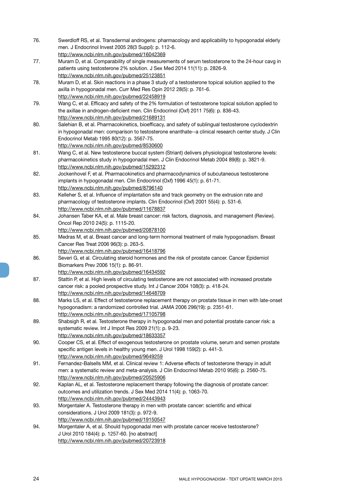- 76. Swerdloff RS, et al. Transdermal androgens: pharmacology and applicability to hypogonadal elderly men. J Endocrinol Invest 2005 28(3 Suppl): p. 112-6. http://www.ncbi.nlm.nih.gov/pubmed/16042369
- 77. Muram D, et al. Comparability of single measurements of serum testosterone to the 24-hour cavg in patients using testosterone 2% solution. J Sex Med 2014 11(11): p. 2826-9. http://www.ncbi.nlm.nih.gov/pubmed/25123851
- 78. Muram D, et al. Skin reactions in a phase 3 study of a testosterone topical solution applied to the axilla in hypogonadal men. Curr Med Res Opin 2012 28(5): p. 761-6. http://www.ncbi.nlm.nih.gov/pubmed/22458919
- 79. Wang C, et al. Efficacy and safety of the 2% formulation of testosterone topical solution applied to the axillae in androgen-deficient men. Clin Endocrinol (Oxf) 2011 75(6): p. 836-43. http://www.ncbi.nlm.nih.gov/pubmed/21689131
- 80. Salehian B, et al. Pharmacokinetics, bioefficacy, and safety of sublingual testosterone cyclodextrin in hypogonadal men: comparison to testosterone enanthate--a clinical research center study. J Clin Endocrinol Metab 1995 80(12): p. 3567-75.

http://www.ncbi.nlm.nih.gov/pubmed/8530600

- 81. Wang C, et al. New testosterone buccal system (Striant) delivers physiological testosterone levels: pharmacokinetics study in hypogonadal men. J Clin Endocrinol Metab 2004 89(8): p. 3821-9. http://www.ncbi.nlm.nih.gov/pubmed/15292312
- 82. Jockenhovel F, et al. Pharmacokinetics and pharmacodynamics of subcutaneous testosterone implants in hypogonadal men. Clin Endocrinol (Oxf) 1996 45(1): p. 61-71. http://www.ncbi.nlm.nih.gov/pubmed/8796140
- 83. Kelleher S, et al. Influence of implantation site and track geometry on the extrusion rate and pharmacology of testosterone implants. Clin Endocrinol (Oxf) 2001 55(4): p. 531-6. http://www.ncbi.nlm.nih.gov/pubmed/11678837
- 84. Johansen Taber KA, et al. Male breast cancer: risk factors, diagnosis, and management (Review). Oncol Rep 2010 24(5): p. 1115-20. http://www.ncbi.nlm.nih.gov/pubmed/20878100
- 85. Medras M, et al. Breast cancer and long-term hormonal treatment of male hypogonadism. Breast Cancer Res Treat 2006 96(3): p. 263-5.

http://www.ncbi.nlm.nih.gov/pubmed/16418796

- 86. Severi G, et al. Circulating steroid hormones and the risk of prostate cancer. Cancer Epidemiol Biomarkers Prev 2006 15(1): p. 86-91.
	- http://www.ncbi.nlm.nih.gov/pubmed/16434592
- 87. Stattin P, et al. High levels of circulating testosterone are not associated with increased prostate cancer risk: a pooled prospective study. Int J Cancer 2004 108(3): p. 418-24. http://www.ncbi.nlm.nih.gov/pubmed/14648709
- 88. Marks LS, et al. Effect of testosterone replacement therapy on prostate tissue in men with late-onset hypogonadism: a randomized controlled trial. JAMA 2006 296(19): p. 2351-61. http://www.ncbi.nlm.nih.gov/pubmed/17105798
- 89. Shabsigh R, et al. Testosterone therapy in hypogonadal men and potential prostate cancer risk: a systematic review. Int J Impot Res 2009 21(1): p. 9-23. http://www.ncbi.nlm.nih.gov/pubmed/18633357
- 90. Cooper CS, et al. Effect of exogenous testosterone on prostate volume, serum and semen prostate specific antigen levels in healthy young men. J Urol 1998 159(2): p. 441-3. http://www.ncbi.nlm.nih.gov/pubmed/9649259
- 91. Fernandez-Balsells MM, et al. Clinical review 1: Adverse effects of testosterone therapy in adult men: a systematic review and meta-analysis. J Clin Endocrinol Metab 2010 95(6): p. 2560-75. http://www.ncbi.nlm.nih.gov/pubmed/20525906
- 92. Kaplan AL, et al. Testosterone replacement therapy following the diagnosis of prostate cancer: outcomes and utilization trends. J Sex Med 2014 11(4): p. 1063-70. http://www.ncbi.nlm.nih.gov/pubmed/24443943
- 93. Morgentaler A. Testosterone therapy in men with prostate cancer: scientific and ethical considerations. J Urol 2009 181(3): p. 972-9. http://www.ncbi.nlm.nih.gov/pubmed/19150547
- 94. Morgentaler A, et al. Should hypogonadal men with prostate cancer receive testosterone? J Urol 2010 184(4): p. 1257-60. [no abstract] http://www.ncbi.nlm.nih.gov/pubmed/20723918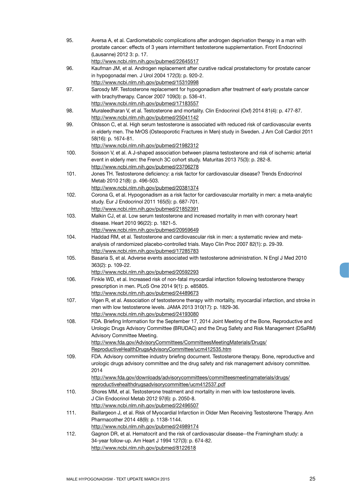| 95.  | Aversa A, et al. Cardiometabolic complications after androgen deprivation therapy in a man with<br>prostate cancer: effects of 3 years intermittent testosterone supplementation. Front Endocrinol |
|------|----------------------------------------------------------------------------------------------------------------------------------------------------------------------------------------------------|
|      | (Lausanne) 2012 3: p. 17.<br>http://www.ncbi.nlm.nih.gov/pubmed/22645517                                                                                                                           |
| 96.  | Kaufman JM, et al. Androgen replacement after curative radical prostatectomy for prostate cancer                                                                                                   |
|      | in hypogonadal men. J Urol 2004 172(3): p. 920-2.                                                                                                                                                  |
|      | http://www.ncbi.nlm.nih.gov/pubmed/15310998                                                                                                                                                        |
| 97.  | Sarosdy MF. Testosterone replacement for hypogonadism after treatment of early prostate cancer                                                                                                     |
|      | with brachytherapy. Cancer 2007 109(3): p. 536-41.                                                                                                                                                 |
|      | http://www.ncbi.nlm.nih.gov/pubmed/17183557                                                                                                                                                        |
| 98.  | Muraleedharan V, et al. Testosterone and mortality. Clin Endocrinol (Oxf) 2014 81(4): p. 477-87.                                                                                                   |
|      | http://www.ncbi.nlm.nih.gov/pubmed/25041142                                                                                                                                                        |
| 99.  | Ohlsson C, et al. High serum testosterone is associated with reduced risk of cardiovascular events                                                                                                 |
|      | in elderly men. The MrOS (Osteoporotic Fractures in Men) study in Sweden. J Am Coll Cardiol 2011                                                                                                   |
|      | 58(16): p. 1674-81.                                                                                                                                                                                |
|      | http://www.ncbi.nlm.nih.gov/pubmed/21982312                                                                                                                                                        |
| 100. | Soisson V, et al. A J-shaped association between plasma testosterone and risk of ischemic arterial                                                                                                 |
|      | event in elderly men: the French 3C cohort study. Maturitas 2013 75(3): p. 282-8.                                                                                                                  |
| 101. | http://www.ncbi.nlm.nih.gov/pubmed/23706278<br>Jones TH. Testosterone deficiency: a risk factor for cardiovascular disease? Trends Endocrinol                                                      |
|      | Metab 2010 21(8): p. 496-503.                                                                                                                                                                      |
|      | http://www.ncbi.nlm.nih.gov/pubmed/20381374                                                                                                                                                        |
| 102. | Corona G, et al. Hypogonadism as a risk factor for cardiovascular mortality in men: a meta-analytic                                                                                                |
|      | study. Eur J Endocrinol 2011 165(5): p. 687-701.                                                                                                                                                   |
|      | http://www.ncbi.nlm.nih.gov/pubmed/21852391                                                                                                                                                        |
| 103. | Malkin CJ, et al. Low serum testosterone and increased mortality in men with coronary heart                                                                                                        |
|      | disease. Heart 2010 96(22): p. 1821-5.                                                                                                                                                             |
|      | http://www.ncbi.nlm.nih.gov/pubmed/20959649                                                                                                                                                        |
| 104. | Haddad RM, et al. Testosterone and cardiovascular risk in men: a systematic review and meta-                                                                                                       |
|      | analysis of randomized placebo-controlled trials. Mayo Clin Proc 2007 82(1): p. 29-39.                                                                                                             |
|      | http://www.ncbi.nlm.nih.gov/pubmed/17285783                                                                                                                                                        |
| 105. | Basaria S, et al. Adverse events associated with testosterone administration. N Engl J Med 2010                                                                                                    |
|      | 363(2): p. 109-22.                                                                                                                                                                                 |
| 106. | http://www.ncbi.nlm.nih.gov/pubmed/20592293                                                                                                                                                        |
|      | Finkle WD, et al. Increased risk of non-fatal myocardial infarction following testosterone therapy<br>prescription in men. PLoS One 2014 9(1): p. e85805.                                          |
|      | http://www.ncbi.nlm.nih.gov/pubmed/24489673                                                                                                                                                        |
| 107. | Vigen R, et al. Association of testosterone therapy with mortality, myocardial infarction, and stroke in                                                                                           |
|      | men with low testosterone levels. JAMA 2013 310(17): p. 1829-36.                                                                                                                                   |
|      | http://www.ncbi.nlm.nih.gov/pubmed/24193080                                                                                                                                                        |
| 108. | FDA. Briefing Information for the September 17, 2014 Joint Meeting of the Bone, Reproductive and                                                                                                   |
|      | Urologic Drugs Advisory Committee (BRUDAC) and the Drug Safety and Risk Management (DSaRM)                                                                                                         |
|      | Advisory Committee Meeting.                                                                                                                                                                        |
|      | http://www.fda.gov/AdvisoryCommittees/CommitteesMeetingMaterials/Drugs/                                                                                                                            |
|      | ReproductiveHealthDrugsAdvisoryCommittee/ucm412535.htm                                                                                                                                             |
| 109. | FDA. Advisory committee industry briefing document. Testosterone therapy. Bone, reproductive and                                                                                                   |
|      | urologic drugs advisory committee and the drug safety and risk management advisory committee.                                                                                                      |
|      | 2014                                                                                                                                                                                               |
|      | http://www.fda.gov/downloads/advisorycommittees/committeesmeetingmaterials/drugs/<br>reproductivehealthdrugsadvisorycommittee/ucm412537.pdf                                                        |
| 110. | Shores MM, et al. Testosterone treatment and mortality in men with low testosterone levels.                                                                                                        |
|      | J Clin Endocrinol Metab 2012 97(6): p. 2050-8.                                                                                                                                                     |
|      | http://www.ncbi.nlm.nih.gov/pubmed/22496507                                                                                                                                                        |
| 111. | Baillargeon J, et al. Risk of Myocardial Infarction in Older Men Receiving Testosterone Therapy. Ann                                                                                               |
|      | Pharmacother 2014 48(9): p. 1138-1144.                                                                                                                                                             |
|      | http://www.ncbi.nlm.nih.gov/pubmed/24989174                                                                                                                                                        |
| 112. | Gagnon DR, et al. Hematocrit and the risk of cardiovascular disease--the Framingham study: a                                                                                                       |
|      | 34-year follow-up. Am Heart J 1994 127(3): p. 674-82.                                                                                                                                              |
|      | http://www.ncbi.nlm.nih.gov/pubmed/8122618                                                                                                                                                         |